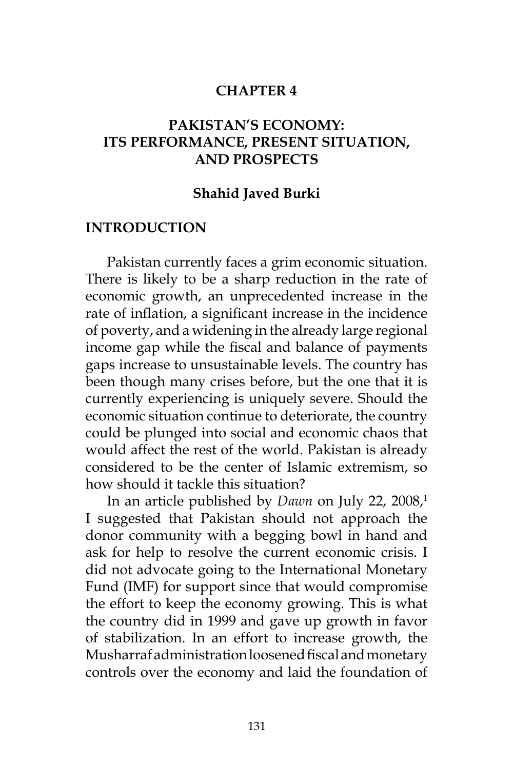#### **CHAPTER 4**

### **PAKISTAN'S ECONOMY: ITS PERFORMANCE, PRESENT SITUATION, AND PROSPECTS**

#### **Shahid Javed Burki**

#### **INTRODUCTION**

Pakistan currently faces a grim economic situation. There is likely to be a sharp reduction in the rate of economic growth, an unprecedented increase in the rate of inflation, a significant increase in the incidence of poverty, and a widening in the already large regional income gap while the fiscal and balance of payments gaps increase to unsustainable levels. The country has been though many crises before, but the one that it is currently experiencing is uniquely severe. Should the economic situation continue to deteriorate, the country could be plunged into social and economic chaos that would affect the rest of the world. Pakistan is already considered to be the center of Islamic extremism, so how should it tackle this situation?

In an article published by *Dawn* on July 22, 2008,<sup>1</sup> I suggested that Pakistan should not approach the donor community with a begging bowl in hand and ask for help to resolve the current economic crisis. I did not advocate going to the International Monetary Fund (IMF) for support since that would compromise the effort to keep the economy growing. This is what the country did in 1999 and gave up growth in favor of stabilization. In an effort to increase growth, the Musharraf administration loosened fiscal and monetary controls over the economy and laid the foundation of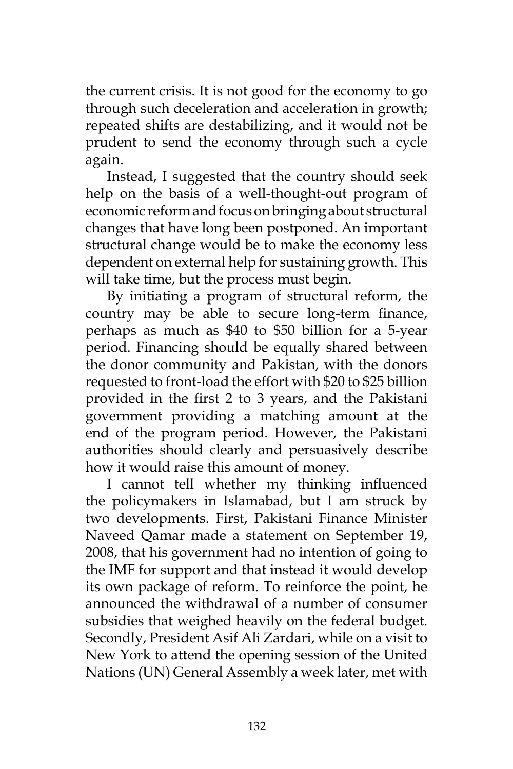the current crisis. It is not good for the economy to go through such deceleration and acceleration in growth; repeated shifts are destabilizing, and it would not be prudent to send the economy through such a cycle again.

Instead, I suggested that the country should seek help on the basis of a well-thought-out program of economic reform and focus on bringing about structural changes that have long been postponed. An important structural change would be to make the economy less dependent on external help for sustaining growth. This will take time, but the process must begin.

By initiating a program of structural reform, the country may be able to secure long-term finance, perhaps as much as \$40 to \$50 billion for a 5-year period. Financing should be equally shared between the donor community and Pakistan, with the donors requested to front-load the effort with \$20 to \$25 billion provided in the first 2 to 3 years, and the Pakistani government providing a matching amount at the end of the program period. However, the Pakistani authorities should clearly and persuasively describe how it would raise this amount of money.

I cannot tell whether my thinking influenced the policymakers in Islamabad, but I am struck by two developments. First, Pakistani Finance Minister Naveed Qamar made a statement on September 19, 2008, that his government had no intention of going to the IMF for support and that instead it would develop its own package of reform. To reinforce the point, he announced the withdrawal of a number of consumer subsidies that weighed heavily on the federal budget. Secondly, President Asif Ali Zardari, while on a visit to New York to attend the opening session of the United Nations (UN) General Assembly a week later, met with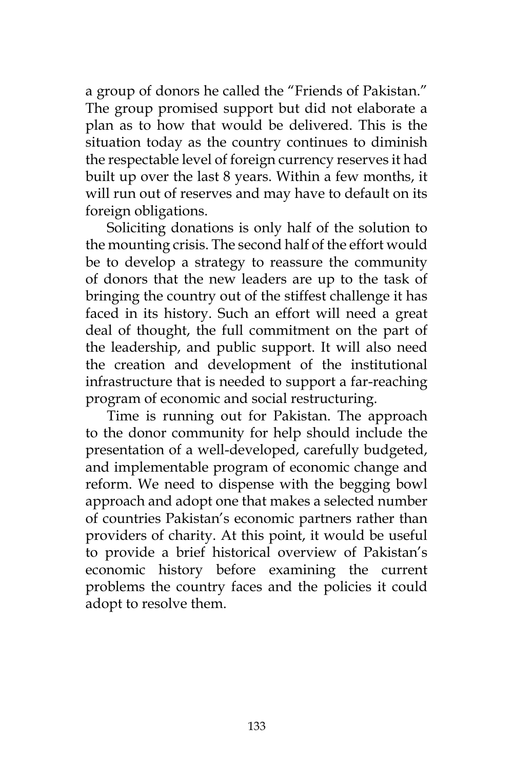a group of donors he called the "Friends of Pakistan." The group promised support but did not elaborate a plan as to how that would be delivered. This is the situation today as the country continues to diminish the respectable level of foreign currency reserves it had built up over the last 8 years. Within a few months, it will run out of reserves and may have to default on its foreign obligations.

Soliciting donations is only half of the solution to the mounting crisis. The second half of the effort would be to develop a strategy to reassure the community of donors that the new leaders are up to the task of bringing the country out of the stiffest challenge it has faced in its history. Such an effort will need a great deal of thought, the full commitment on the part of the leadership, and public support. It will also need the creation and development of the institutional infrastructure that is needed to support a far-reaching program of economic and social restructuring.

Time is running out for Pakistan. The approach to the donor community for help should include the presentation of a well-developed, carefully budgeted, and implementable program of economic change and reform. We need to dispense with the begging bowl approach and adopt one that makes a selected number of countries Pakistan's economic partners rather than providers of charity. At this point, it would be useful to provide a brief historical overview of Pakistan's economic history before examining the current problems the country faces and the policies it could adopt to resolve them.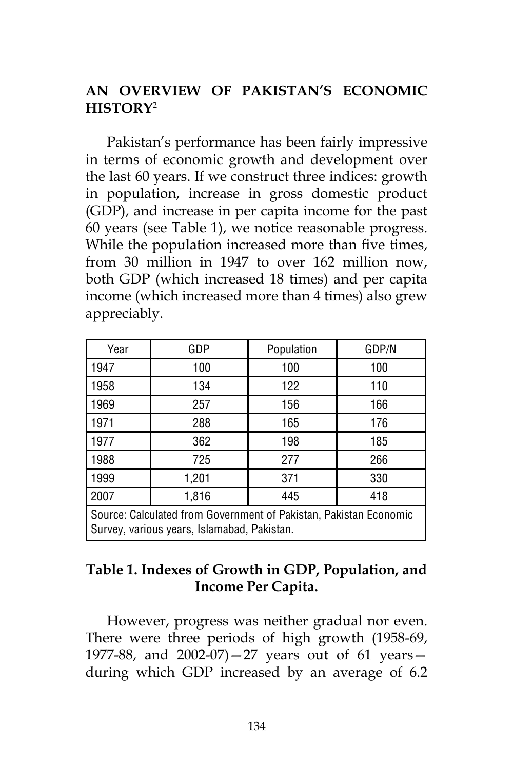## **AN OVERVIEW OF PAKISTAN'S ECONOMIC HISTORY**<sup>2</sup>

Pakistan's performance has been fairly impressive in terms of economic growth and development over the last 60 years. If we construct three indices: growth in population, increase in gross domestic product (GDP), and increase in per capita income for the past 60 years (see Table 1), we notice reasonable progress. While the population increased more than five times, from 30 million in 1947 to over 162 million now, both GDP (which increased 18 times) and per capita income (which increased more than 4 times) also grew appreciably.

| Year                                                                                                             | GDP   | Population | GDP/N |  |  |  |  |
|------------------------------------------------------------------------------------------------------------------|-------|------------|-------|--|--|--|--|
| 1947                                                                                                             | 100   | 100        | 100   |  |  |  |  |
| 1958                                                                                                             | 134   | 122        | 110   |  |  |  |  |
| 1969                                                                                                             | 257   | 156        | 166   |  |  |  |  |
| 1971                                                                                                             | 288   | 165        | 176   |  |  |  |  |
| 1977                                                                                                             | 362   | 198        | 185   |  |  |  |  |
| 1988                                                                                                             | 725   | 277<br>266 |       |  |  |  |  |
| 1999                                                                                                             | 1,201 | 371<br>330 |       |  |  |  |  |
| 2007                                                                                                             | 1,816 | 445        | 418   |  |  |  |  |
| Source: Calculated from Government of Pakistan, Pakistan Economic<br>Survey, various years, Islamabad, Pakistan. |       |            |       |  |  |  |  |

## **Table 1. Indexes of Growth in GDP, Population, and Income Per Capita.**

However, progress was neither gradual nor even. There were three periods of high growth (1958-69, 1977-88, and 2002-07)—27 years out of 61 years during which GDP increased by an average of 6.2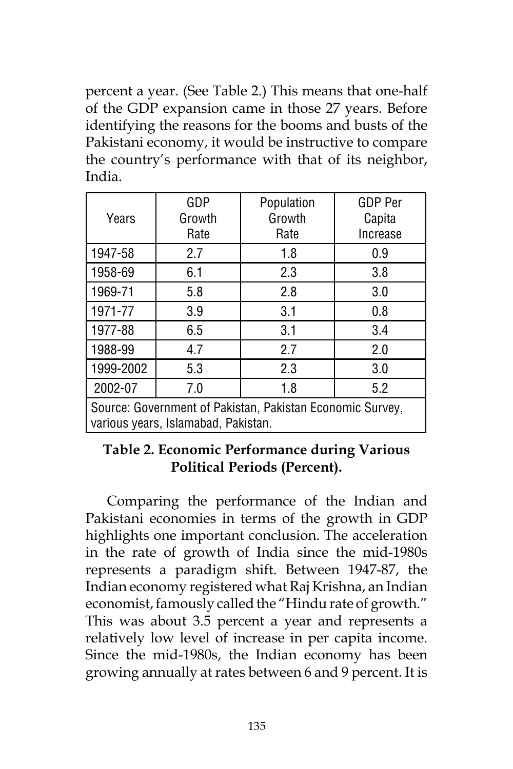percent a year. (See Table 2.) This means that one-half of the GDP expansion came in those 27 years. Before identifying the reasons for the booms and busts of the Pakistani economy, it would be instructive to compare the country's performance with that of its neighbor, India.

|                                                                                                  | GDP               | Population | <b>GDP Per</b> |  |  |  |  |
|--------------------------------------------------------------------------------------------------|-------------------|------------|----------------|--|--|--|--|
| Years                                                                                            | Growth            | Growth     | Capita         |  |  |  |  |
|                                                                                                  | Rate              | Rate       | Increase       |  |  |  |  |
| 1947-58                                                                                          | 2.7               | 1.8        | 0.9            |  |  |  |  |
| 1958-69                                                                                          | 6.1               | 2.3        | 3.8            |  |  |  |  |
| 1969-71                                                                                          | 5.8               | 2.8        | 3.0            |  |  |  |  |
| 1971-77                                                                                          | 3.9               | 3.1        | 0.8            |  |  |  |  |
| 1977-88                                                                                          | 6.5               | 3.1        | 3.4            |  |  |  |  |
| 1988-99                                                                                          | 4.7<br>2.7<br>2.0 |            |                |  |  |  |  |
| 1999-2002                                                                                        | 5.3<br>2.3        |            | 3.0            |  |  |  |  |
| 2002-07                                                                                          | 7.0               | 1.8        | 5.2            |  |  |  |  |
| Source: Government of Pakistan, Pakistan Economic Survey,<br>various years, Islamabad, Pakistan. |                   |            |                |  |  |  |  |

## **Table 2. Economic Performance during Various Political Periods (Percent).**

Comparing the performance of the Indian and Pakistani economies in terms of the growth in GDP highlights one important conclusion. The acceleration in the rate of growth of India since the mid-1980s represents a paradigm shift. Between 1947-87, the Indian economy registered what Raj Krishna, an Indian economist, famously called the "Hindu rate of growth." This was about 3.5 percent a year and represents a relatively low level of increase in per capita income. Since the mid-1980s, the Indian economy has been growing annually at rates between 6 and 9 percent. It is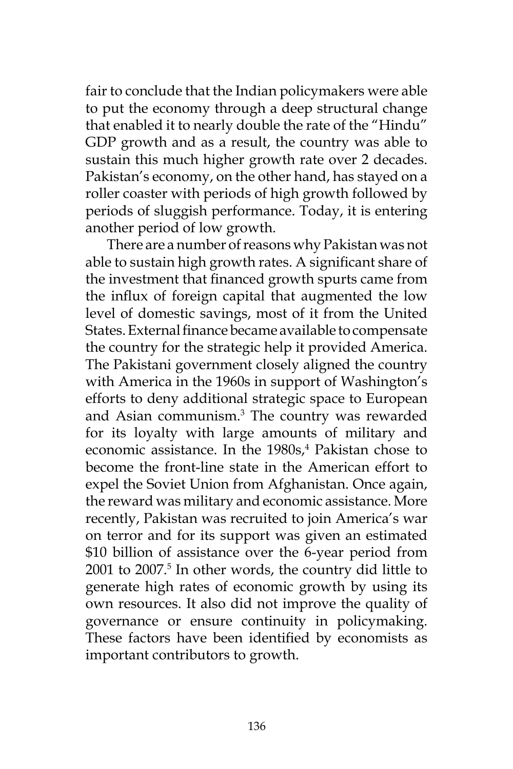fair to conclude that the Indian policymakers were able to put the economy through a deep structural change that enabled it to nearly double the rate of the "Hindu" GDP growth and as a result, the country was able to sustain this much higher growth rate over 2 decades. Pakistan's economy, on the other hand, has stayed on a roller coaster with periods of high growth followed by periods of sluggish performance. Today, it is entering another period of low growth.

There are a number of reasons why Pakistan was not able to sustain high growth rates. A significant share of the investment that financed growth spurts came from the influx of foreign capital that augmented the low level of domestic savings, most of it from the United States. External finance became available to compensate the country for the strategic help it provided America. The Pakistani government closely aligned the country with America in the 1960s in support of Washington's efforts to deny additional strategic space to European and Asian communism.3 The country was rewarded for its loyalty with large amounts of military and economic assistance. In the 1980s,<sup>4</sup> Pakistan chose to become the front-line state in the American effort to expel the Soviet Union from Afghanistan. Once again, the reward was military and economic assistance. More recently, Pakistan was recruited to join America's war on terror and for its support was given an estimated \$10 billion of assistance over the 6-year period from 2001 to 2007.<sup>5</sup> In other words, the country did little to generate high rates of economic growth by using its own resources. It also did not improve the quality of governance or ensure continuity in policymaking. These factors have been identified by economists as important contributors to growth.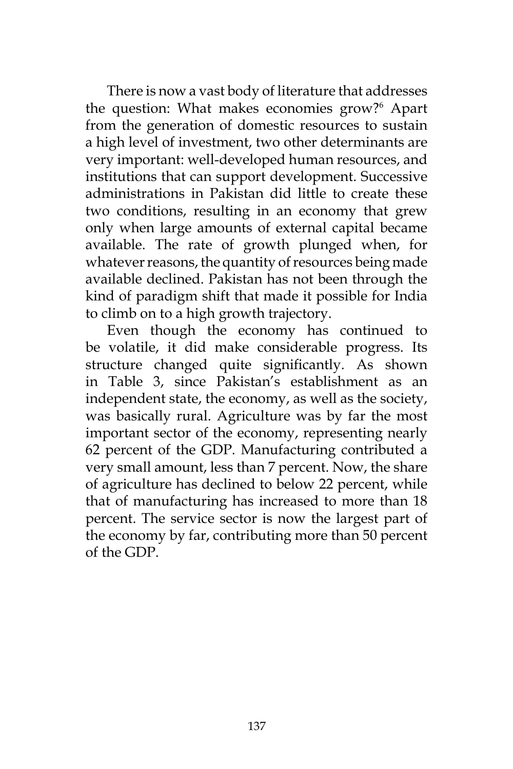There is now a vast body of literature that addresses the question: What makes economies grow?<sup>6</sup> Apart from the generation of domestic resources to sustain a high level of investment, two other determinants are very important: well-developed human resources, and institutions that can support development. Successive administrations in Pakistan did little to create these two conditions, resulting in an economy that grew only when large amounts of external capital became available. The rate of growth plunged when, for whatever reasons, the quantity of resources being made available declined. Pakistan has not been through the kind of paradigm shift that made it possible for India to climb on to a high growth trajectory.

Even though the economy has continued to be volatile, it did make considerable progress. Its structure changed quite significantly. As shown in Table 3, since Pakistan's establishment as an independent state, the economy, as well as the society, was basically rural. Agriculture was by far the most important sector of the economy, representing nearly 62 percent of the GDP. Manufacturing contributed a very small amount, less than 7 percent. Now, the share of agriculture has declined to below 22 percent, while that of manufacturing has increased to more than 18 percent. The service sector is now the largest part of the economy by far, contributing more than 50 percent of the GDP.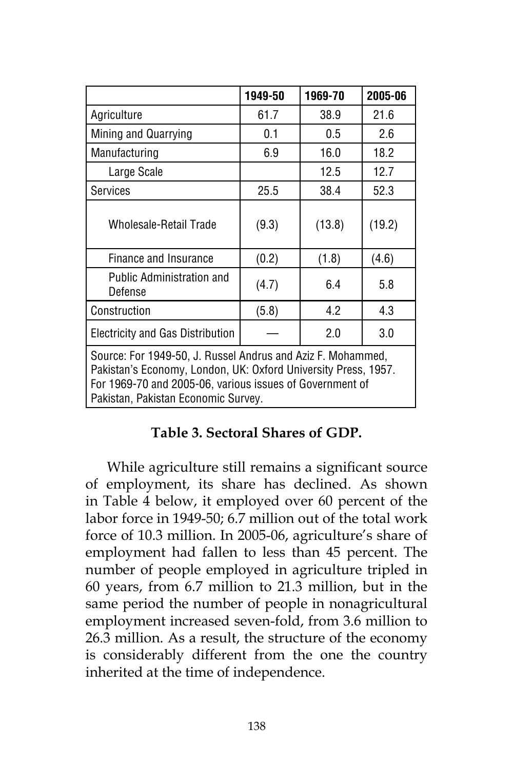|                                                                                                                                                                                                                                  | 1949-50 | 1969-70 | 2005-06 |  |  |  |  |
|----------------------------------------------------------------------------------------------------------------------------------------------------------------------------------------------------------------------------------|---------|---------|---------|--|--|--|--|
| Agriculture                                                                                                                                                                                                                      | 61.7    | 38.9    | 21.6    |  |  |  |  |
| Mining and Quarrying                                                                                                                                                                                                             | 0.1     | 0.5     | 2.6     |  |  |  |  |
| Manufacturing                                                                                                                                                                                                                    | 6.9     | 16.0    | 18.2    |  |  |  |  |
| Large Scale                                                                                                                                                                                                                      |         | 12.5    | 12.7    |  |  |  |  |
| Services                                                                                                                                                                                                                         | 25.5    | 38.4    | 52.3    |  |  |  |  |
| <b>Wholesale-Retail Trade</b>                                                                                                                                                                                                    | (9.3)   | (13.8)  | (19.2)  |  |  |  |  |
| Finance and Insurance                                                                                                                                                                                                            | (0.2)   | (1.8)   | (4.6)   |  |  |  |  |
| Public Administration and<br>Defense                                                                                                                                                                                             | (4.7)   | 6.4     | 5.8     |  |  |  |  |
| Construction                                                                                                                                                                                                                     | (5.8)   | 4.2     | 4.3     |  |  |  |  |
| <b>Electricity and Gas Distribution</b>                                                                                                                                                                                          |         | 2.0     | 3.0     |  |  |  |  |
| Source: For 1949-50, J. Russel Andrus and Aziz F. Mohammed,<br>Pakistan's Economy, London, UK: Oxford University Press, 1957.<br>For 1969-70 and 2005-06, various issues of Government of<br>Pakistan, Pakistan Economic Survey. |         |         |         |  |  |  |  |

#### **Table 3. Sectoral Shares of GDP.**

While agriculture still remains a significant source of employment, its share has declined. As shown in Table 4 below, it employed over 60 percent of the labor force in 1949-50; 6.7 million out of the total work force of 10.3 million. In 2005-06, agriculture's share of employment had fallen to less than 45 percent. The number of people employed in agriculture tripled in 60 years, from 6.7 million to 21.3 million, but in the same period the number of people in nonagricultural employment increased seven-fold, from 3.6 million to 26.3 million. As a result, the structure of the economy is considerably different from the one the country inherited at the time of independence.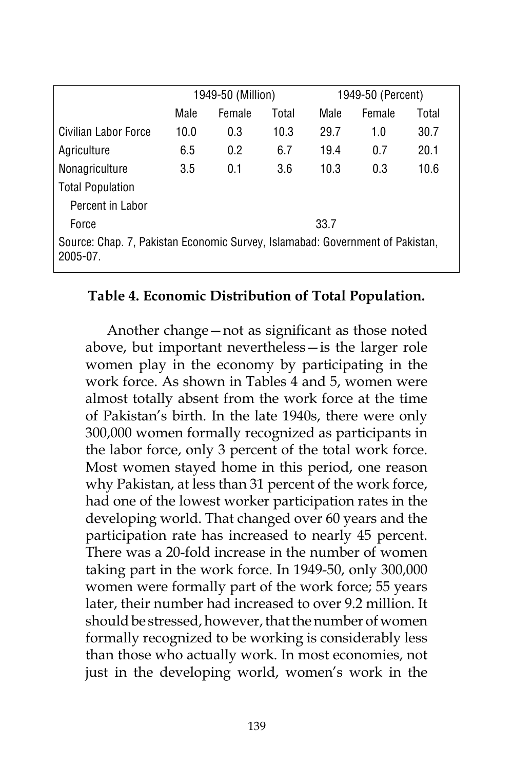|                                                                                           |      | 1949-50 (Million) |       |      | 1949-50 (Percent) |       |  |  |
|-------------------------------------------------------------------------------------------|------|-------------------|-------|------|-------------------|-------|--|--|
|                                                                                           | Male | <b>Female</b>     | Total | Male | Female            | Total |  |  |
| Civilian Labor Force                                                                      | 10.0 | 0.3               | 10.3  | 29.7 | 1.0               | 30.7  |  |  |
| Agriculture                                                                               | 6.5  | 0.2               | 6.7   | 19.4 | 0.7               | 20.1  |  |  |
| Nonagriculture                                                                            | 3.5  | 0.1               | 3.6   | 10.3 | 0.3               | 10.6  |  |  |
| <b>Total Population</b>                                                                   |      |                   |       |      |                   |       |  |  |
| Percent in Labor                                                                          |      |                   |       |      |                   |       |  |  |
| Force                                                                                     |      |                   |       | 33.7 |                   |       |  |  |
| Source: Chap. 7, Pakistan Economic Survey, Islamabad: Government of Pakistan,<br>2005-07. |      |                   |       |      |                   |       |  |  |

#### **Table 4. Economic Distribution of Total Population.**

Another change—not as significant as those noted above, but important nevertheless—is the larger role women play in the economy by participating in the work force. As shown in Tables 4 and 5, women were almost totally absent from the work force at the time of Pakistan's birth. In the late 1940s, there were only 300,000 women formally recognized as participants in the labor force, only 3 percent of the total work force. Most women stayed home in this period, one reason why Pakistan, at less than 31 percent of the work force, had one of the lowest worker participation rates in the developing world. That changed over 60 years and the participation rate has increased to nearly 45 percent. There was a 20-fold increase in the number of women taking part in the work force. In 1949-50, only 300,000 women were formally part of the work force; 55 years later, their number had increased to over 9.2 million. It should be stressed, however, that the number of women formally recognized to be working is considerably less than those who actually work. In most economies, not just in the developing world, women's work in the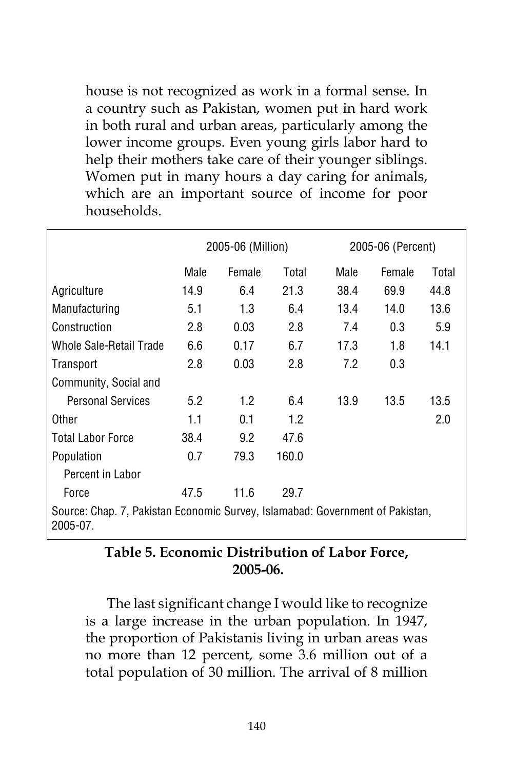house is not recognized as work in a formal sense. In a country such as Pakistan, women put in hard work in both rural and urban areas, particularly among the lower income groups. Even young girls labor hard to help their mothers take care of their younger siblings. Women put in many hours a day caring for animals, which are an important source of income for poor households.

|                                                                                           |      | 2005-06 (Million) |       | 2005-06 (Percent) |        |       |  |
|-------------------------------------------------------------------------------------------|------|-------------------|-------|-------------------|--------|-------|--|
|                                                                                           | Male | Female            | Total | Male              | Female | Total |  |
| Agriculture                                                                               | 14.9 | 6.4               | 21.3  | 38.4              | 69.9   | 44.8  |  |
| Manufacturing                                                                             | 5.1  | 1.3               | 6.4   | 13.4              | 14.0   | 13.6  |  |
| Construction                                                                              | 2.8  | 0.03              | 2.8   | 7.4               | 0.3    | 5.9   |  |
| Whole Sale-Retail Trade                                                                   | 6.6  | 0.17              | 6.7   | 17.3              | 1.8    | 14.1  |  |
| Transport                                                                                 | 2.8  | 0.03              | 2.8   | 7.2               | 0.3    |       |  |
| Community, Social and                                                                     |      |                   |       |                   |        |       |  |
| <b>Personal Services</b>                                                                  | 5.2  | 1.2               | 6.4   | 13.9              | 13.5   | 13.5  |  |
| Other                                                                                     | 1.1  | 0.1               | 1.2   |                   |        | 2.0   |  |
| <b>Total Labor Force</b>                                                                  | 38.4 | 9.2               | 47.6  |                   |        |       |  |
| Population                                                                                | 0.7  | 79.3              | 160.0 |                   |        |       |  |
| Percent in Labor                                                                          |      |                   |       |                   |        |       |  |
| Force                                                                                     | 47.5 | 11.6              | 29.7  |                   |        |       |  |
| Source: Chap. 7, Pakistan Economic Survey, Islamabad: Government of Pakistan,<br>2005-07. |      |                   |       |                   |        |       |  |

## **Table 5. Economic Distribution of Labor Force, 2005-06.**

The last significant change I would like to recognize is a large increase in the urban population. In 1947, the proportion of Pakistanis living in urban areas was no more than 12 percent, some 3.6 million out of a total population of 30 million. The arrival of 8 million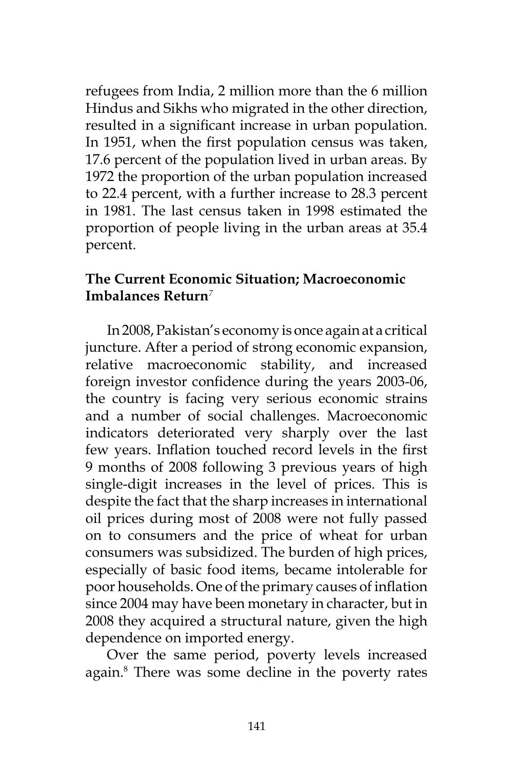refugees from India, 2 million more than the 6 million Hindus and Sikhs who migrated in the other direction, resulted in a significant increase in urban population. In 1951, when the first population census was taken, 17.6 percent of the population lived in urban areas. By 1972 the proportion of the urban population increased to 22.4 percent, with a further increase to 28.3 percent in 1981. The last census taken in 1998 estimated the proportion of people living in the urban areas at 35.4 percent.

## **The Current Economic Situation; Macroeconomic Imbalances Return***<sup>7</sup>*

In 2008, Pakistan's economy is once again at a critical juncture. After a period of strong economic expansion, relative macroeconomic stability, and increased foreign investor confidence during the years 2003-06, the country is facing very serious economic strains and a number of social challenges. Macroeconomic indicators deteriorated very sharply over the last few years. Inflation touched record levels in the first 9 months of 2008 following 3 previous years of high single-digit increases in the level of prices. This is despite the fact that the sharp increases in international oil prices during most of 2008 were not fully passed on to consumers and the price of wheat for urban consumers was subsidized. The burden of high prices, especially of basic food items, became intolerable for poor households. One of the primary causes of inflation since 2004 may have been monetary in character, but in 2008 they acquired a structural nature, given the high dependence on imported energy.

Over the same period, poverty levels increased again.8 There was some decline in the poverty rates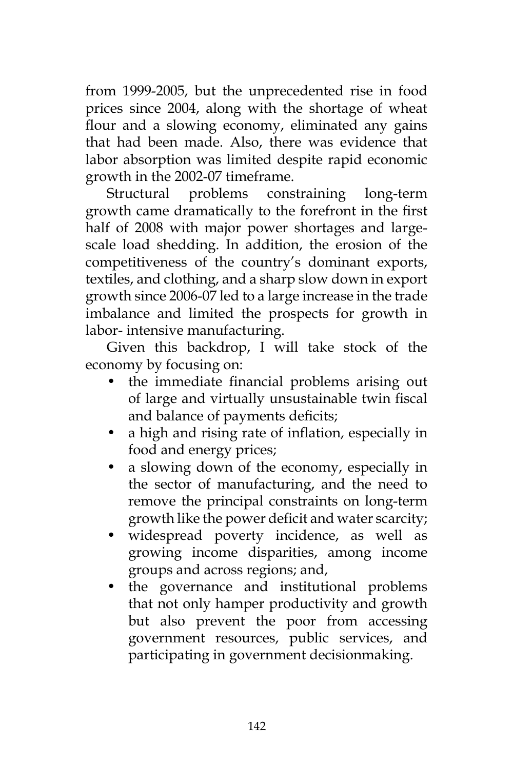from 1999-2005, but the unprecedented rise in food prices since 2004, along with the shortage of wheat flour and a slowing economy, eliminated any gains that had been made. Also, there was evidence that labor absorption was limited despite rapid economic growth in the 2002-07 timeframe.

Structural problems constraining long-term growth came dramatically to the forefront in the first half of 2008 with major power shortages and largescale load shedding. In addition, the erosion of the competitiveness of the country's dominant exports, textiles, and clothing, and a sharp slow down in export growth since 2006-07 led to a large increase in the trade imbalance and limited the prospects for growth in labor- intensive manufacturing.

Given this backdrop, I will take stock of the economy by focusing on:

- the immediate financial problems arising out of large and virtually unsustainable twin fiscal and balance of payments deficits;
- a high and rising rate of inflation, especially in food and energy prices;
- a slowing down of the economy, especially in the sector of manufacturing, and the need to remove the principal constraints on long-term growth like the power deficit and water scarcity;
- widespread poverty incidence, as well as growing income disparities, among income groups and across regions; and,
- the governance and institutional problems that not only hamper productivity and growth but also prevent the poor from accessing government resources, public services, and participating in government decisionmaking.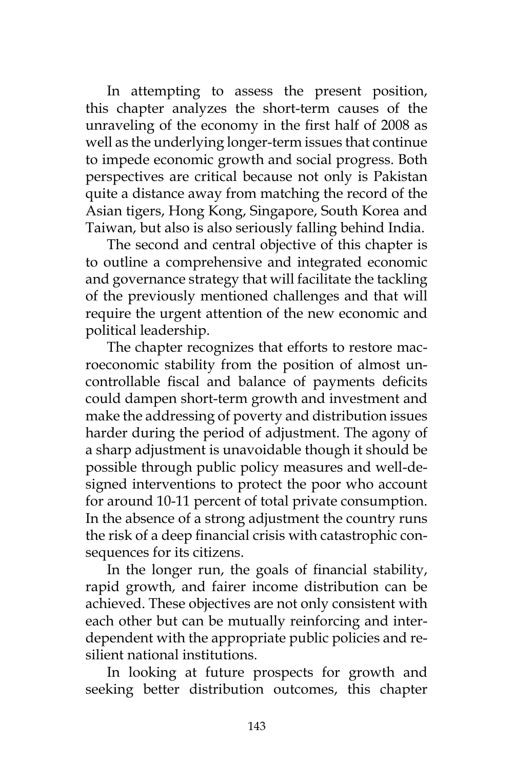In attempting to assess the present position, this chapter analyzes the short-term causes of the unraveling of the economy in the first half of 2008 as well as the underlying longer-term issues that continue to impede economic growth and social progress. Both perspectives are critical because not only is Pakistan quite a distance away from matching the record of the Asian tigers, Hong Kong, Singapore, South Korea and Taiwan, but also is also seriously falling behind India.

The second and central objective of this chapter is to outline a comprehensive and integrated economic and governance strategy that will facilitate the tackling of the previously mentioned challenges and that will require the urgent attention of the new economic and political leadership.

The chapter recognizes that efforts to restore macroeconomic stability from the position of almost uncontrollable fiscal and balance of payments deficits could dampen short-term growth and investment and make the addressing of poverty and distribution issues harder during the period of adjustment. The agony of a sharp adjustment is unavoidable though it should be possible through public policy measures and well-designed interventions to protect the poor who account for around 10-11 percent of total private consumption. In the absence of a strong adjustment the country runs the risk of a deep financial crisis with catastrophic consequences for its citizens.

In the longer run, the goals of financial stability, rapid growth, and fairer income distribution can be achieved. These objectives are not only consistent with each other but can be mutually reinforcing and interdependent with the appropriate public policies and resilient national institutions.

In looking at future prospects for growth and seeking better distribution outcomes, this chapter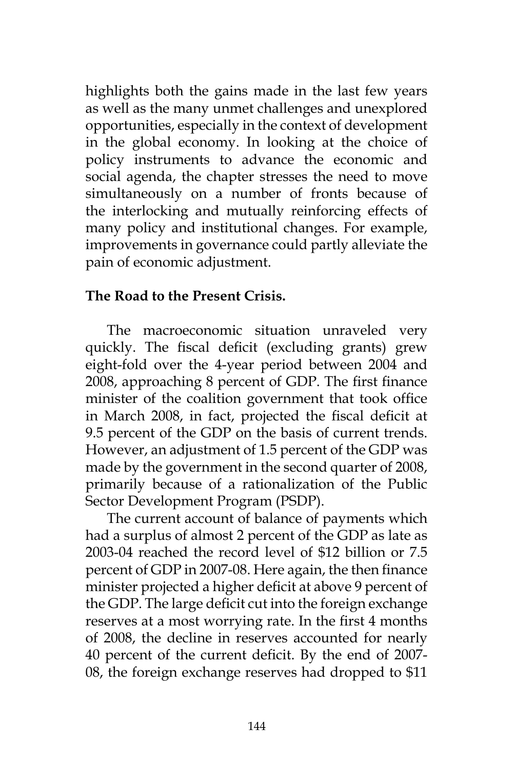highlights both the gains made in the last few years as well as the many unmet challenges and unexplored opportunities, especially in the context of development in the global economy. In looking at the choice of policy instruments to advance the economic and social agenda, the chapter stresses the need to move simultaneously on a number of fronts because of the interlocking and mutually reinforcing effects of many policy and institutional changes. For example, improvements in governance could partly alleviate the pain of economic adjustment.

## **The Road to the Present Crisis.**

The macroeconomic situation unraveled very quickly. The fiscal deficit (excluding grants) grew eight-fold over the 4-year period between 2004 and 2008, approaching 8 percent of GDP. The first finance minister of the coalition government that took office in March 2008, in fact, projected the fiscal deficit at 9.5 percent of the GDP on the basis of current trends. However, an adjustment of 1.5 percent of the GDP was made by the government in the second quarter of 2008, primarily because of a rationalization of the Public Sector Development Program (PSDP).

The current account of balance of payments which had a surplus of almost 2 percent of the GDP as late as 2003-04 reached the record level of \$12 billion or 7.5 percent of GDP in 2007-08. Here again, the then finance minister projected a higher deficit at above 9 percent of the GDP. The large deficit cut into the foreign exchange reserves at a most worrying rate. In the first 4 months of 2008, the decline in reserves accounted for nearly 40 percent of the current deficit. By the end of 2007- 08, the foreign exchange reserves had dropped to \$11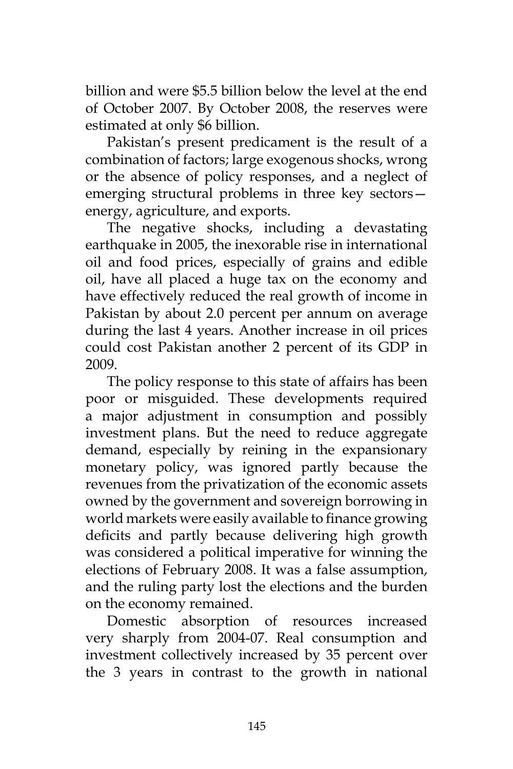billion and were \$5.5 billion below the level at the end of October 2007. By October 2008, the reserves were estimated at only \$6 billion.

Pakistan's present predicament is the result of a combination of factors; large exogenous shocks, wrong or the absence of policy responses, and a neglect of emerging structural problems in three key sectors energy, agriculture, and exports.

The negative shocks, including a devastating earthquake in 2005, the inexorable rise in international oil and food prices, especially of grains and edible oil, have all placed a huge tax on the economy and have effectively reduced the real growth of income in Pakistan by about 2.0 percent per annum on average during the last 4 years. Another increase in oil prices could cost Pakistan another 2 percent of its GDP in 2009.

The policy response to this state of affairs has been poor or misguided. These developments required a major adjustment in consumption and possibly investment plans. But the need to reduce aggregate demand, especially by reining in the expansionary monetary policy, was ignored partly because the revenues from the privatization of the economic assets owned by the government and sovereign borrowing in world markets were easily available to finance growing deficits and partly because delivering high growth was considered a political imperative for winning the elections of February 2008. It was a false assumption, and the ruling party lost the elections and the burden on the economy remained.

Domestic absorption of resources increased very sharply from 2004-07. Real consumption and investment collectively increased by 35 percent over the 3 years in contrast to the growth in national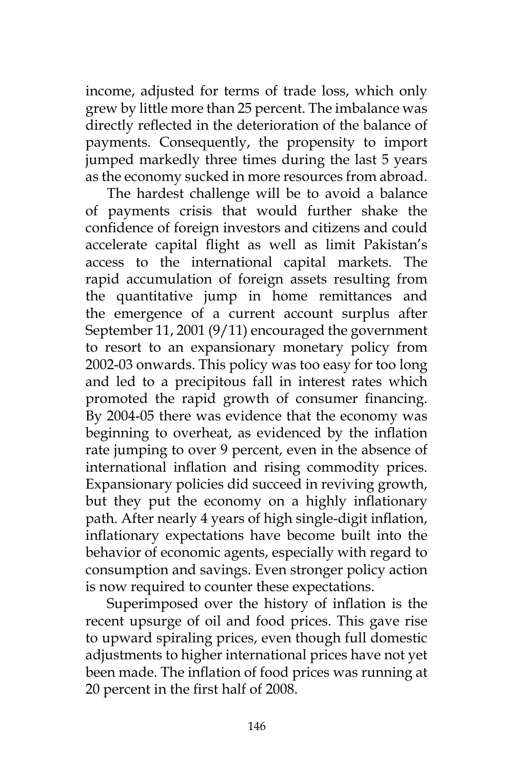income, adjusted for terms of trade loss, which only grew by little more than 25 percent. The imbalance was directly reflected in the deterioration of the balance of payments. Consequently, the propensity to import jumped markedly three times during the last 5 years as the economy sucked in more resources from abroad.

The hardest challenge will be to avoid a balance of payments crisis that would further shake the confidence of foreign investors and citizens and could accelerate capital flight as well as limit Pakistan's access to the international capital markets. The rapid accumulation of foreign assets resulting from the quantitative jump in home remittances and the emergence of a current account surplus after September 11, 2001 (9/11) encouraged the government to resort to an expansionary monetary policy from 2002-03 onwards. This policy was too easy for too long and led to a precipitous fall in interest rates which promoted the rapid growth of consumer financing. By 2004-05 there was evidence that the economy was beginning to overheat, as evidenced by the inflation rate jumping to over 9 percent, even in the absence of international inflation and rising commodity prices. Expansionary policies did succeed in reviving growth, but they put the economy on a highly inflationary path. After nearly 4 years of high single-digit inflation, inflationary expectations have become built into the behavior of economic agents, especially with regard to consumption and savings. Even stronger policy action is now required to counter these expectations.

Superimposed over the history of inflation is the recent upsurge of oil and food prices. This gave rise to upward spiraling prices, even though full domestic adjustments to higher international prices have not yet been made. The inflation of food prices was running at 20 percent in the first half of 2008.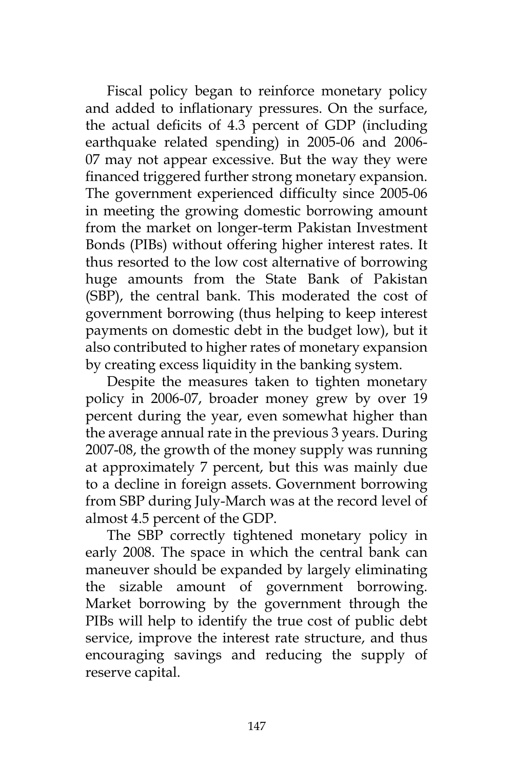Fiscal policy began to reinforce monetary policy and added to inflationary pressures. On the surface, the actual deficits of 4.3 percent of GDP (including earthquake related spending) in 2005-06 and 2006- 07 may not appear excessive. But the way they were financed triggered further strong monetary expansion. The government experienced difficulty since 2005-06 in meeting the growing domestic borrowing amount from the market on longer-term Pakistan Investment Bonds (PIBs) without offering higher interest rates. It thus resorted to the low cost alternative of borrowing huge amounts from the State Bank of Pakistan (SBP), the central bank. This moderated the cost of government borrowing (thus helping to keep interest payments on domestic debt in the budget low), but it also contributed to higher rates of monetary expansion by creating excess liquidity in the banking system.

Despite the measures taken to tighten monetary policy in 2006-07, broader money grew by over 19 percent during the year, even somewhat higher than the average annual rate in the previous 3 years. During 2007-08, the growth of the money supply was running at approximately 7 percent, but this was mainly due to a decline in foreign assets. Government borrowing from SBP during July-March was at the record level of almost 4.5 percent of the GDP.

The SBP correctly tightened monetary policy in early 2008. The space in which the central bank can maneuver should be expanded by largely eliminating the sizable amount of government borrowing. Market borrowing by the government through the PIBs will help to identify the true cost of public debt service, improve the interest rate structure, and thus encouraging savings and reducing the supply of reserve capital.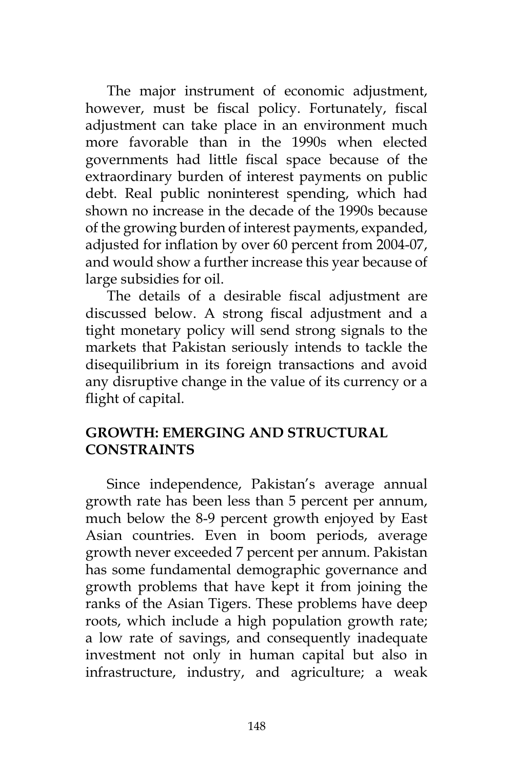The major instrument of economic adjustment, however, must be fiscal policy. Fortunately, fiscal adjustment can take place in an environment much more favorable than in the 1990s when elected governments had little fiscal space because of the extraordinary burden of interest payments on public debt. Real public noninterest spending, which had shown no increase in the decade of the 1990s because of the growing burden of interest payments, expanded, adjusted for inflation by over 60 percent from 2004-07, and would show a further increase this year because of large subsidies for oil.

The details of a desirable fiscal adjustment are discussed below. A strong fiscal adjustment and a tight monetary policy will send strong signals to the markets that Pakistan seriously intends to tackle the disequilibrium in its foreign transactions and avoid any disruptive change in the value of its currency or a flight of capital.

### **GROWTH: EMERGING AND STRUCTURAL CONSTRAINTS**

Since independence, Pakistan's average annual growth rate has been less than 5 percent per annum, much below the 8-9 percent growth enjoyed by East Asian countries. Even in boom periods, average growth never exceeded 7 percent per annum. Pakistan has some fundamental demographic governance and growth problems that have kept it from joining the ranks of the Asian Tigers. These problems have deep roots, which include a high population growth rate; a low rate of savings, and consequently inadequate investment not only in human capital but also in infrastructure, industry, and agriculture; a weak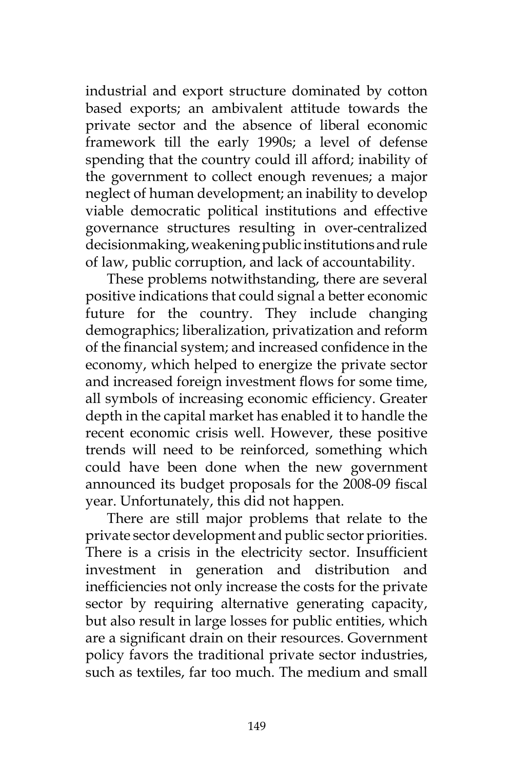industrial and export structure dominated by cotton based exports; an ambivalent attitude towards the private sector and the absence of liberal economic framework till the early 1990s; a level of defense spending that the country could ill afford; inability of the government to collect enough revenues; a major neglect of human development; an inability to develop viable democratic political institutions and effective governance structures resulting in over-centralized decisionmaking, weakening public institutions and rule of law, public corruption, and lack of accountability.

These problems notwithstanding, there are several positive indications that could signal a better economic future for the country. They include changing demographics; liberalization, privatization and reform of the financial system; and increased confidence in the economy, which helped to energize the private sector and increased foreign investment flows for some time, all symbols of increasing economic efficiency. Greater depth in the capital market has enabled it to handle the recent economic crisis well. However, these positive trends will need to be reinforced, something which could have been done when the new government announced its budget proposals for the 2008-09 fiscal year. Unfortunately, this did not happen.

There are still major problems that relate to the private sector development and public sector priorities. There is a crisis in the electricity sector. Insufficient investment in generation and distribution and inefficiencies not only increase the costs for the private sector by requiring alternative generating capacity, but also result in large losses for public entities, which are a significant drain on their resources. Government policy favors the traditional private sector industries, such as textiles, far too much. The medium and small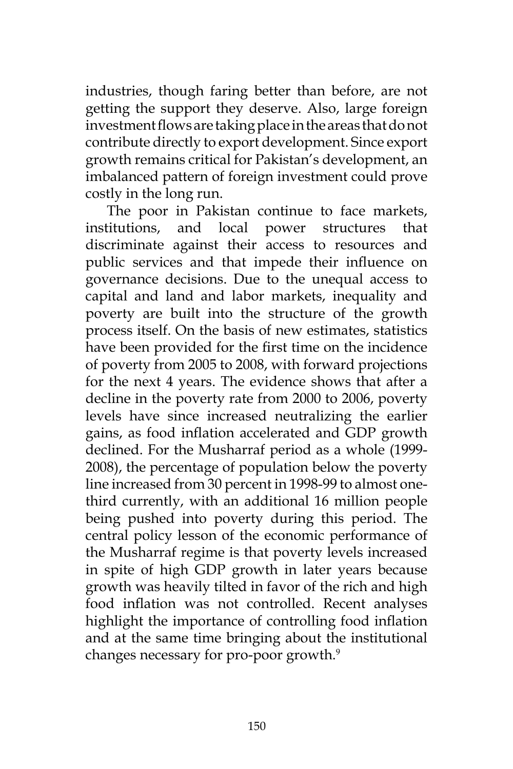industries, though faring better than before, are not getting the support they deserve. Also, large foreign investment flows are taking place in the areas that do not contribute directly to export development. Since export growth remains critical for Pakistan's development, an imbalanced pattern of foreign investment could prove costly in the long run.

The poor in Pakistan continue to face markets, institutions, and local power structures that discriminate against their access to resources and public services and that impede their influence on governance decisions. Due to the unequal access to capital and land and labor markets, inequality and poverty are built into the structure of the growth process itself. On the basis of new estimates, statistics have been provided for the first time on the incidence of poverty from 2005 to 2008, with forward projections for the next 4 years. The evidence shows that after a decline in the poverty rate from 2000 to 2006, poverty levels have since increased neutralizing the earlier gains, as food inflation accelerated and GDP growth declined. For the Musharraf period as a whole (1999- 2008), the percentage of population below the poverty line increased from 30 percent in 1998-99 to almost onethird currently, with an additional 16 million people being pushed into poverty during this period. The central policy lesson of the economic performance of the Musharraf regime is that poverty levels increased in spite of high GDP growth in later years because growth was heavily tilted in favor of the rich and high food inflation was not controlled. Recent analyses highlight the importance of controlling food inflation and at the same time bringing about the institutional changes necessary for pro-poor growth.<sup>9</sup>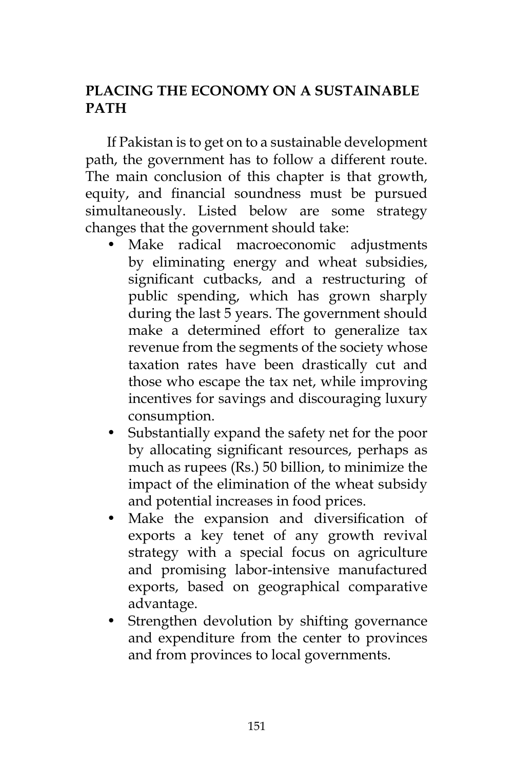# **PLACING THE ECONOMY ON A SUSTAINABLE PATH**

If Pakistan is to get on to a sustainable development path, the government has to follow a different route. The main conclusion of this chapter is that growth, equity, and financial soundness must be pursued simultaneously. Listed below are some strategy changes that the government should take:

- Make radical macroeconomic adjustments by eliminating energy and wheat subsidies, significant cutbacks, and a restructuring of public spending, which has grown sharply during the last 5 years. The government should make a determined effort to generalize tax revenue from the segments of the society whose taxation rates have been drastically cut and those who escape the tax net, while improving incentives for savings and discouraging luxury consumption.
- Substantially expand the safety net for the poor by allocating significant resources, perhaps as much as rupees (Rs.) 50 billion, to minimize the impact of the elimination of the wheat subsidy and potential increases in food prices.
- Make the expansion and diversification of exports a key tenet of any growth revival strategy with a special focus on agriculture and promising labor-intensive manufactured exports, based on geographical comparative advantage.
- Strengthen devolution by shifting governance and expenditure from the center to provinces and from provinces to local governments.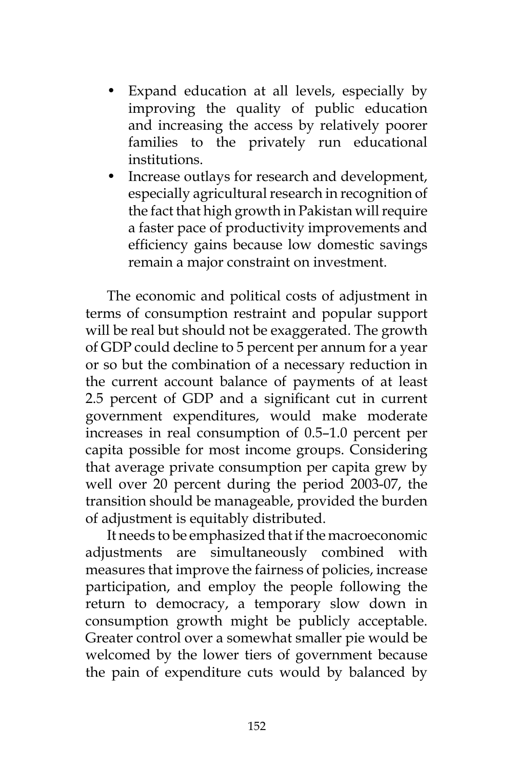- Expand education at all levels, especially by improving the quality of public education and increasing the access by relatively poorer families to the privately run educational institutions.
- Increase outlays for research and development, especially agricultural research in recognition of the fact that high growth in Pakistan will require a faster pace of productivity improvements and efficiency gains because low domestic savings remain a major constraint on investment.

The economic and political costs of adjustment in terms of consumption restraint and popular support will be real but should not be exaggerated. The growth of GDP could decline to 5 percent per annum for a year or so but the combination of a necessary reduction in the current account balance of payments of at least 2.5 percent of GDP and a significant cut in current government expenditures, would make moderate increases in real consumption of 0.5–1.0 percent per capita possible for most income groups. Considering that average private consumption per capita grew by well over 20 percent during the period 2003-07, the transition should be manageable, provided the burden of adjustment is equitably distributed.

It needs to be emphasized that if the macroeconomic adjustments are simultaneously combined with measures that improve the fairness of policies, increase participation, and employ the people following the return to democracy, a temporary slow down in consumption growth might be publicly acceptable. Greater control over a somewhat smaller pie would be welcomed by the lower tiers of government because the pain of expenditure cuts would by balanced by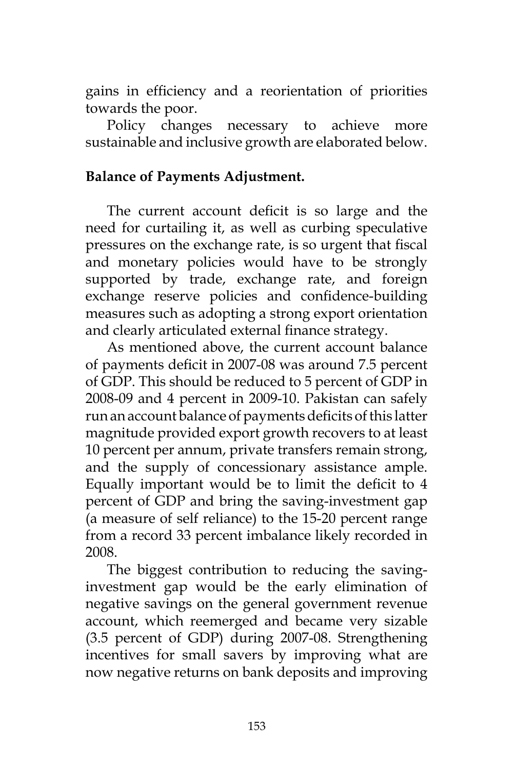gains in efficiency and a reorientation of priorities towards the poor.

Policy changes necessary to achieve more sustainable and inclusive growth are elaborated below.

### **Balance of Payments Adjustment.**

The current account deficit is so large and the need for curtailing it, as well as curbing speculative pressures on the exchange rate, is so urgent that fiscal and monetary policies would have to be strongly supported by trade, exchange rate, and foreign exchange reserve policies and confidence-building measures such as adopting a strong export orientation and clearly articulated external finance strategy.

As mentioned above, the current account balance of payments deficit in 2007-08 was around 7.5 percent of GDP. This should be reduced to 5 percent of GDP in 2008-09 and 4 percent in 2009-10. Pakistan can safely run an account balance of payments deficits of this latter magnitude provided export growth recovers to at least 10 percent per annum, private transfers remain strong, and the supply of concessionary assistance ample. Equally important would be to limit the deficit to 4 percent of GDP and bring the saving-investment gap (a measure of self reliance) to the 15-20 percent range from a record 33 percent imbalance likely recorded in 2008.

The biggest contribution to reducing the savinginvestment gap would be the early elimination of negative savings on the general government revenue account, which reemerged and became very sizable (3.5 percent of GDP) during 2007-08. Strengthening incentives for small savers by improving what are now negative returns on bank deposits and improving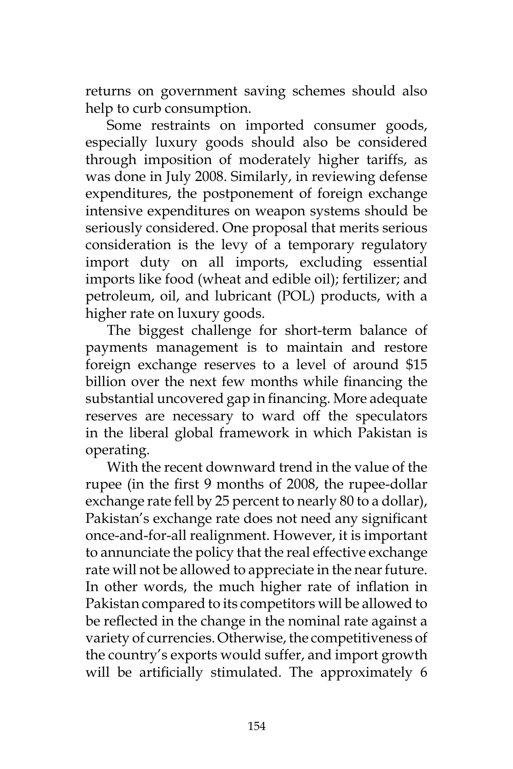returns on government saving schemes should also help to curb consumption.

Some restraints on imported consumer goods, especially luxury goods should also be considered through imposition of moderately higher tariffs, as was done in July 2008. Similarly, in reviewing defense expenditures, the postponement of foreign exchange intensive expenditures on weapon systems should be seriously considered. One proposal that merits serious consideration is the levy of a temporary regulatory import duty on all imports, excluding essential imports like food (wheat and edible oil); fertilizer; and petroleum, oil, and lubricant (POL) products, with a higher rate on luxury goods.

The biggest challenge for short-term balance of payments management is to maintain and restore foreign exchange reserves to a level of around \$15 billion over the next few months while financing the substantial uncovered gap in financing. More adequate reserves are necessary to ward off the speculators in the liberal global framework in which Pakistan is operating.

With the recent downward trend in the value of the rupee (in the first 9 months of 2008, the rupee-dollar exchange rate fell by 25 percent to nearly 80 to a dollar), Pakistan's exchange rate does not need any significant once-and-for-all realignment. However, it is important to annunciate the policy that the real effective exchange rate will not be allowed to appreciate in the near future. In other words, the much higher rate of inflation in Pakistan compared to its competitors will be allowed to be reflected in the change in the nominal rate against a variety of currencies. Otherwise, the competitiveness of the country's exports would suffer, and import growth will be artificially stimulated. The approximately 6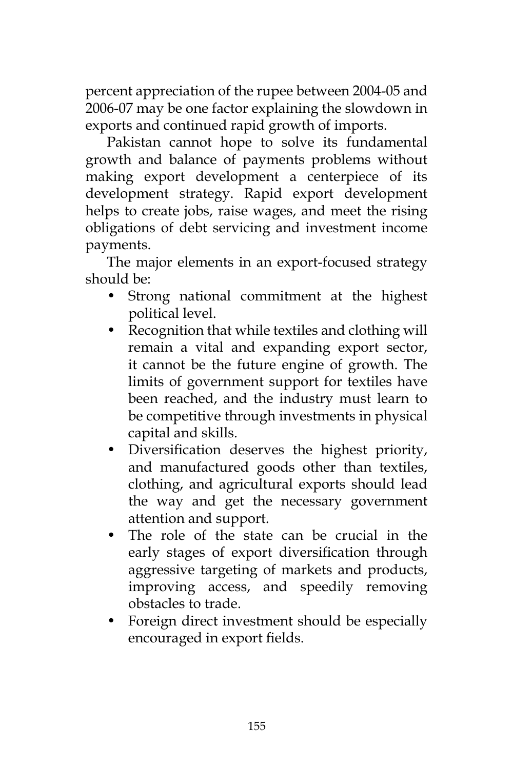percent appreciation of the rupee between 2004-05 and 2006-07 may be one factor explaining the slowdown in exports and continued rapid growth of imports.

Pakistan cannot hope to solve its fundamental growth and balance of payments problems without making export development a centerpiece of its development strategy. Rapid export development helps to create jobs, raise wages, and meet the rising obligations of debt servicing and investment income payments.

The major elements in an export-focused strategy should be:

- Strong national commitment at the highest political level.
- Recognition that while textiles and clothing will remain a vital and expanding export sector, it cannot be the future engine of growth. The limits of government support for textiles have been reached, and the industry must learn to be competitive through investments in physical capital and skills.
- Diversification deserves the highest priority, and manufactured goods other than textiles, clothing, and agricultural exports should lead the way and get the necessary government attention and support.
- The role of the state can be crucial in the early stages of export diversification through aggressive targeting of markets and products, improving access, and speedily removing obstacles to trade.
- Foreign direct investment should be especially encouraged in export fields.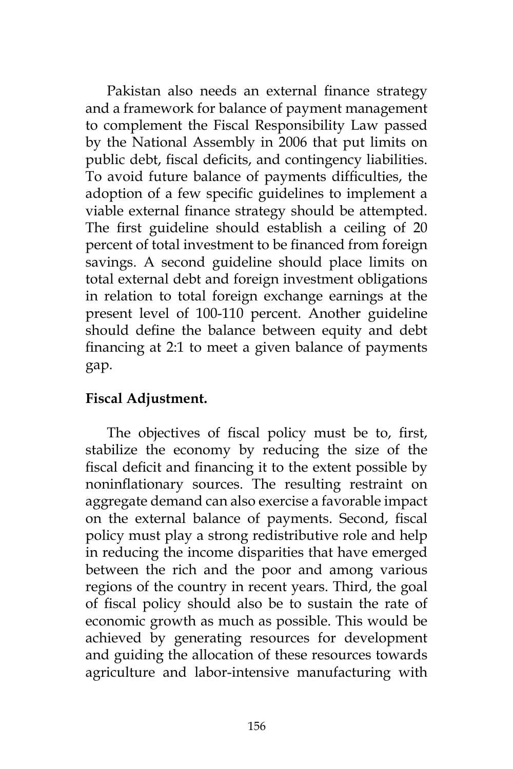Pakistan also needs an external finance strategy and a framework for balance of payment management to complement the Fiscal Responsibility Law passed by the National Assembly in 2006 that put limits on public debt, fiscal deficits, and contingency liabilities. To avoid future balance of payments difficulties, the adoption of a few specific guidelines to implement a viable external finance strategy should be attempted. The first guideline should establish a ceiling of 20 percent of total investment to be financed from foreign savings. A second guideline should place limits on total external debt and foreign investment obligations in relation to total foreign exchange earnings at the present level of 100-110 percent. Another guideline should define the balance between equity and debt financing at 2:1 to meet a given balance of payments gap.

#### **Fiscal Adjustment.**

The objectives of fiscal policy must be to, first, stabilize the economy by reducing the size of the fiscal deficit and financing it to the extent possible by noninflationary sources. The resulting restraint on aggregate demand can also exercise a favorable impact on the external balance of payments. Second, fiscal policy must play a strong redistributive role and help in reducing the income disparities that have emerged between the rich and the poor and among various regions of the country in recent years. Third, the goal of fiscal policy should also be to sustain the rate of economic growth as much as possible. This would be achieved by generating resources for development and guiding the allocation of these resources towards agriculture and labor-intensive manufacturing with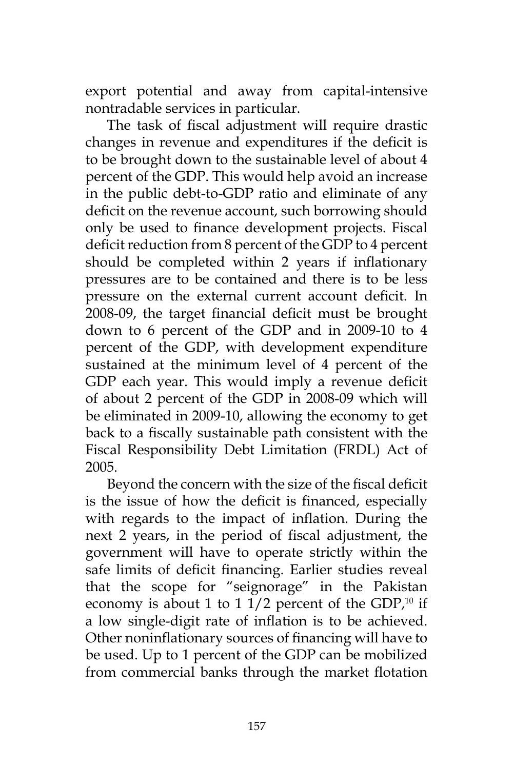export potential and away from capital-intensive nontradable services in particular.

The task of fiscal adjustment will require drastic changes in revenue and expenditures if the deficit is to be brought down to the sustainable level of about 4 percent of the GDP. This would help avoid an increase in the public debt-to-GDP ratio and eliminate of any deficit on the revenue account, such borrowing should only be used to finance development projects. Fiscal deficit reduction from 8 percent of the GDP to 4 percent should be completed within 2 years if inflationary pressures are to be contained and there is to be less pressure on the external current account deficit. In 2008-09, the target financial deficit must be brought down to 6 percent of the GDP and in 2009-10 to 4 percent of the GDP, with development expenditure sustained at the minimum level of 4 percent of the GDP each year. This would imply a revenue deficit of about 2 percent of the GDP in 2008-09 which will be eliminated in 2009-10, allowing the economy to get back to a fiscally sustainable path consistent with the Fiscal Responsibility Debt Limitation (FRDL) Act of 2005.

Beyond the concern with the size of the fiscal deficit is the issue of how the deficit is financed, especially with regards to the impact of inflation. During the next 2 years, in the period of fiscal adjustment, the government will have to operate strictly within the safe limits of deficit financing. Earlier studies reveal that the scope for "seignorage" in the Pakistan economy is about 1 to  $11/2$  percent of the GDP,<sup>10</sup> if a low single-digit rate of inflation is to be achieved. Other noninflationary sources of financing will have to be used. Up to 1 percent of the GDP can be mobilized from commercial banks through the market flotation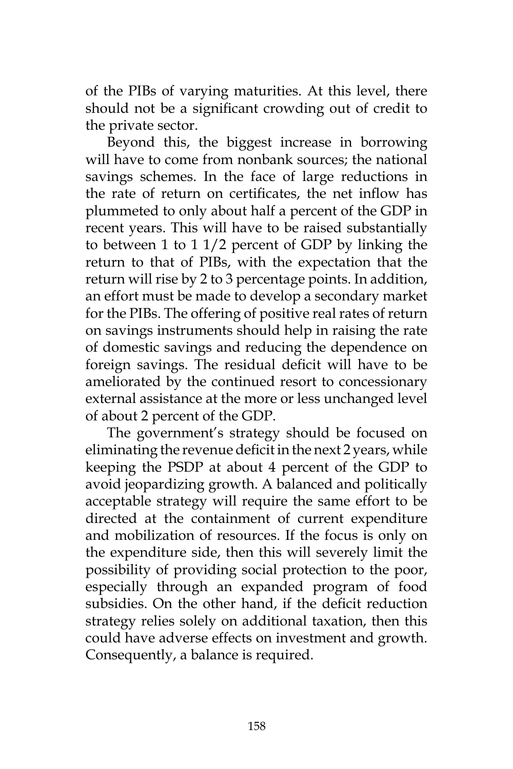of the PIBs of varying maturities. At this level, there should not be a significant crowding out of credit to the private sector.

Beyond this, the biggest increase in borrowing will have to come from nonbank sources; the national savings schemes. In the face of large reductions in the rate of return on certificates, the net inflow has plummeted to only about half a percent of the GDP in recent years. This will have to be raised substantially to between 1 to 1 1/2 percent of GDP by linking the return to that of PIBs, with the expectation that the return will rise by 2 to 3 percentage points. In addition, an effort must be made to develop a secondary market for the PIBs. The offering of positive real rates of return on savings instruments should help in raising the rate of domestic savings and reducing the dependence on foreign savings. The residual deficit will have to be ameliorated by the continued resort to concessionary external assistance at the more or less unchanged level of about 2 percent of the GDP.

The government's strategy should be focused on eliminating the revenue deficit in the next 2 years, while keeping the PSDP at about 4 percent of the GDP to avoid jeopardizing growth. A balanced and politically acceptable strategy will require the same effort to be directed at the containment of current expenditure and mobilization of resources. If the focus is only on the expenditure side, then this will severely limit the possibility of providing social protection to the poor, especially through an expanded program of food subsidies. On the other hand, if the deficit reduction strategy relies solely on additional taxation, then this could have adverse effects on investment and growth. Consequently, a balance is required.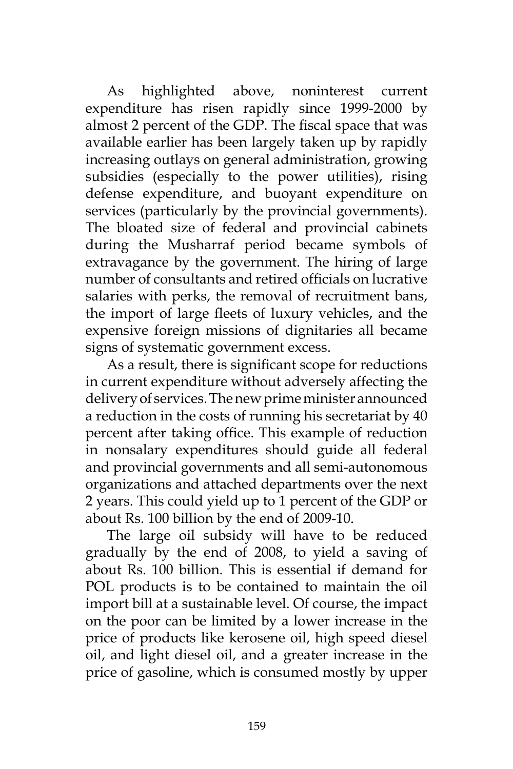As highlighted above, noninterest current expenditure has risen rapidly since 1999-2000 by almost 2 percent of the GDP. The fiscal space that was available earlier has been largely taken up by rapidly increasing outlays on general administration, growing subsidies (especially to the power utilities), rising defense expenditure, and buoyant expenditure on services (particularly by the provincial governments). The bloated size of federal and provincial cabinets during the Musharraf period became symbols of extravagance by the government. The hiring of large number of consultants and retired officials on lucrative salaries with perks, the removal of recruitment bans, the import of large fleets of luxury vehicles, and the expensive foreign missions of dignitaries all became signs of systematic government excess.

As a result, there is significant scope for reductions in current expenditure without adversely affecting the delivery of services. The new prime minister announced a reduction in the costs of running his secretariat by 40 percent after taking office. This example of reduction in nonsalary expenditures should guide all federal and provincial governments and all semi-autonomous organizations and attached departments over the next 2 years. This could yield up to 1 percent of the GDP or about Rs. 100 billion by the end of 2009-10.

The large oil subsidy will have to be reduced gradually by the end of 2008, to yield a saving of about Rs. 100 billion. This is essential if demand for POL products is to be contained to maintain the oil import bill at a sustainable level. Of course, the impact on the poor can be limited by a lower increase in the price of products like kerosene oil, high speed diesel oil, and light diesel oil, and a greater increase in the price of gasoline, which is consumed mostly by upper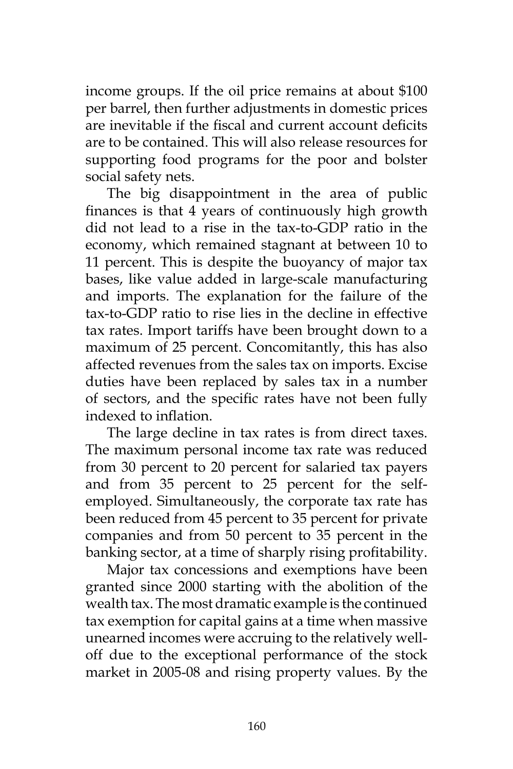income groups. If the oil price remains at about \$100 per barrel, then further adjustments in domestic prices are inevitable if the fiscal and current account deficits are to be contained. This will also release resources for supporting food programs for the poor and bolster social safety nets.

The big disappointment in the area of public finances is that 4 years of continuously high growth did not lead to a rise in the tax-to-GDP ratio in the economy, which remained stagnant at between 10 to 11 percent. This is despite the buoyancy of major tax bases, like value added in large-scale manufacturing and imports. The explanation for the failure of the tax-to-GDP ratio to rise lies in the decline in effective tax rates. Import tariffs have been brought down to a maximum of 25 percent. Concomitantly, this has also affected revenues from the sales tax on imports. Excise duties have been replaced by sales tax in a number of sectors, and the specific rates have not been fully indexed to inflation.

The large decline in tax rates is from direct taxes. The maximum personal income tax rate was reduced from 30 percent to 20 percent for salaried tax payers and from 35 percent to 25 percent for the selfemployed. Simultaneously, the corporate tax rate has been reduced from 45 percent to 35 percent for private companies and from 50 percent to 35 percent in the banking sector, at a time of sharply rising profitability.

Major tax concessions and exemptions have been granted since 2000 starting with the abolition of the wealth tax. The most dramatic example is the continued tax exemption for capital gains at a time when massive unearned incomes were accruing to the relatively welloff due to the exceptional performance of the stock market in 2005-08 and rising property values. By the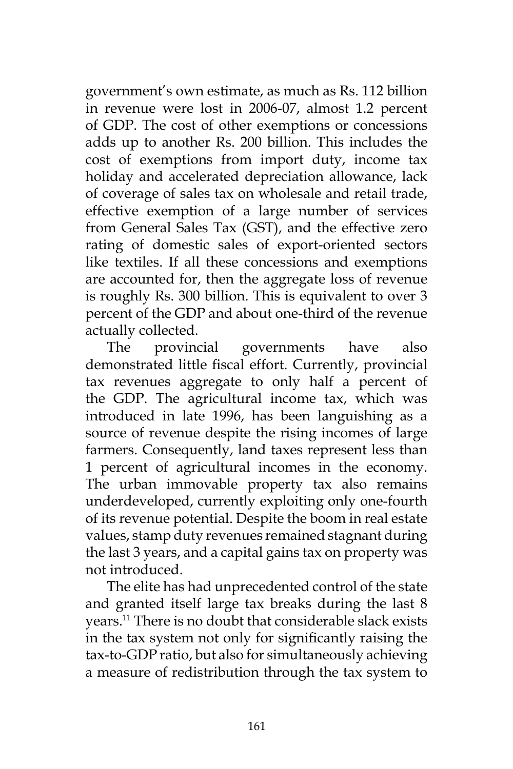government's own estimate, as much as Rs. 112 billion in revenue were lost in 2006-07, almost 1.2 percent of GDP. The cost of other exemptions or concessions adds up to another Rs. 200 billion. This includes the cost of exemptions from import duty, income tax holiday and accelerated depreciation allowance, lack of coverage of sales tax on wholesale and retail trade, effective exemption of a large number of services from General Sales Tax (GST), and the effective zero rating of domestic sales of export-oriented sectors like textiles. If all these concessions and exemptions are accounted for, then the aggregate loss of revenue is roughly Rs. 300 billion. This is equivalent to over 3 percent of the GDP and about one-third of the revenue actually collected.

The provincial governments have also demonstrated little fiscal effort. Currently, provincial tax revenues aggregate to only half a percent of the GDP. The agricultural income tax, which was introduced in late 1996, has been languishing as a source of revenue despite the rising incomes of large farmers. Consequently, land taxes represent less than 1 percent of agricultural incomes in the economy. The urban immovable property tax also remains underdeveloped, currently exploiting only one-fourth of its revenue potential. Despite the boom in real estate values, stamp duty revenues remained stagnant during the last 3 years, and a capital gains tax on property was not introduced.

The elite has had unprecedented control of the state and granted itself large tax breaks during the last 8 years.11 There is no doubt that considerable slack exists in the tax system not only for significantly raising the tax-to-GDP ratio, but also for simultaneously achieving a measure of redistribution through the tax system to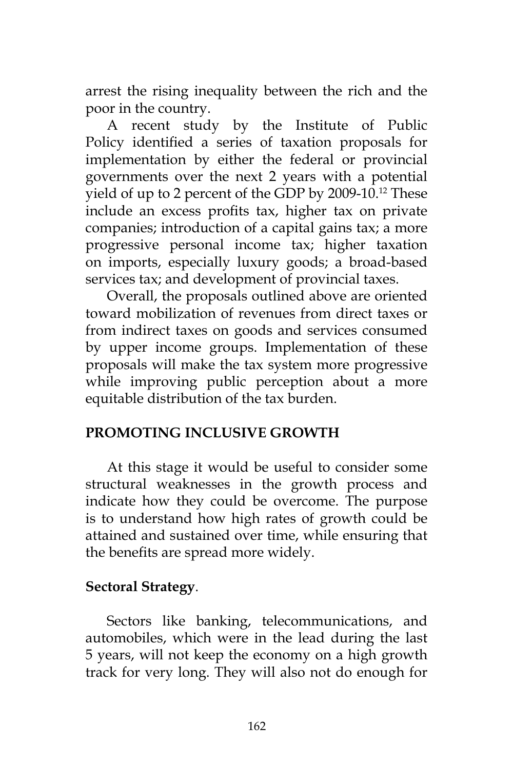arrest the rising inequality between the rich and the poor in the country.

A recent study by the Institute of Public Policy identified a series of taxation proposals for implementation by either the federal or provincial governments over the next 2 years with a potential yield of up to 2 percent of the GDP by 2009-10.<sup>12</sup> These include an excess profits tax, higher tax on private companies; introduction of a capital gains tax; a more progressive personal income tax; higher taxation on imports, especially luxury goods; a broad-based services tax; and development of provincial taxes.

Overall, the proposals outlined above are oriented toward mobilization of revenues from direct taxes or from indirect taxes on goods and services consumed by upper income groups. Implementation of these proposals will make the tax system more progressive while improving public perception about a more equitable distribution of the tax burden.

## **PROMOTING INCLUSIVE GROWTH**

At this stage it would be useful to consider some structural weaknesses in the growth process and indicate how they could be overcome. The purpose is to understand how high rates of growth could be attained and sustained over time, while ensuring that the benefits are spread more widely.

#### **Sectoral Strategy**.

Sectors like banking, telecommunications, and automobiles, which were in the lead during the last 5 years, will not keep the economy on a high growth track for very long. They will also not do enough for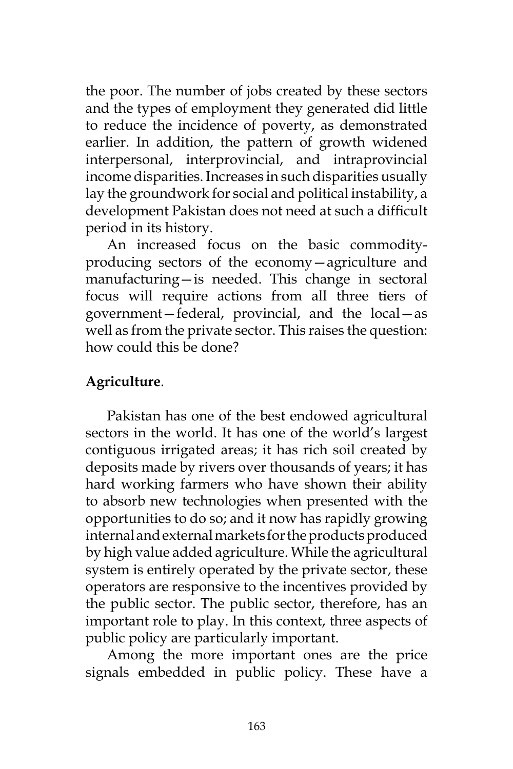the poor. The number of jobs created by these sectors and the types of employment they generated did little to reduce the incidence of poverty, as demonstrated earlier. In addition, the pattern of growth widened interpersonal, interprovincial, and intraprovincial income disparities. Increases in such disparities usually lay the groundwork for social and political instability, a development Pakistan does not need at such a difficult period in its history.

An increased focus on the basic commodityproducing sectors of the economy—agriculture and manufacturing—is needed. This change in sectoral focus will require actions from all three tiers of government—federal, provincial, and the local—as well as from the private sector. This raises the question: how could this be done?

## **Agriculture**.

Pakistan has one of the best endowed agricultural sectors in the world. It has one of the world's largest contiguous irrigated areas; it has rich soil created by deposits made by rivers over thousands of years; it has hard working farmers who have shown their ability to absorb new technologies when presented with the opportunities to do so; and it now has rapidly growing internal and external markets for the products produced by high value added agriculture. While the agricultural system is entirely operated by the private sector, these operators are responsive to the incentives provided by the public sector. The public sector, therefore, has an important role to play. In this context, three aspects of public policy are particularly important.

Among the more important ones are the price signals embedded in public policy. These have a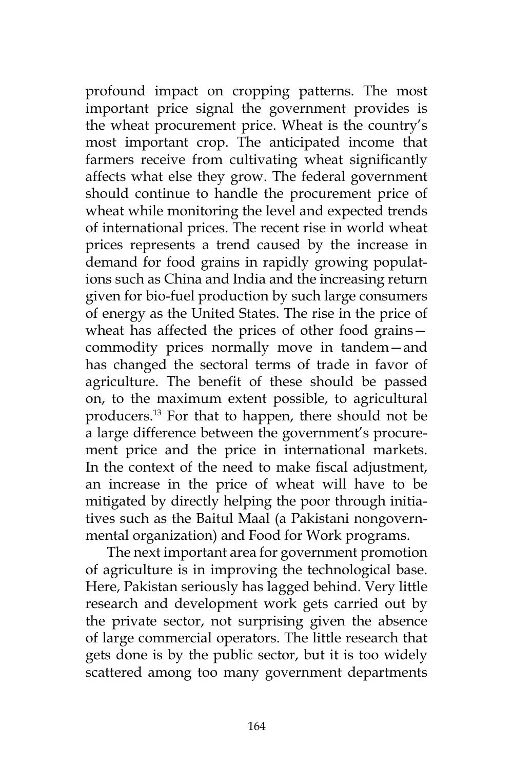profound impact on cropping patterns. The most important price signal the government provides is the wheat procurement price. Wheat is the country's most important crop. The anticipated income that farmers receive from cultivating wheat significantly affects what else they grow. The federal government should continue to handle the procurement price of wheat while monitoring the level and expected trends of international prices. The recent rise in world wheat prices represents a trend caused by the increase in demand for food grains in rapidly growing populations such as China and India and the increasing return given for bio-fuel production by such large consumers of energy as the United States. The rise in the price of wheat has affected the prices of other food grainscommodity prices normally move in tandem—and has changed the sectoral terms of trade in favor of agriculture. The benefit of these should be passed on, to the maximum extent possible, to agricultural producers.13 For that to happen, there should not be a large difference between the government's procurement price and the price in international markets. In the context of the need to make fiscal adjustment, an increase in the price of wheat will have to be mitigated by directly helping the poor through initiatives such as the Baitul Maal (a Pakistani nongovernmental organization) and Food for Work programs.

The next important area for government promotion of agriculture is in improving the technological base. Here, Pakistan seriously has lagged behind. Very little research and development work gets carried out by the private sector, not surprising given the absence of large commercial operators. The little research that gets done is by the public sector, but it is too widely scattered among too many government departments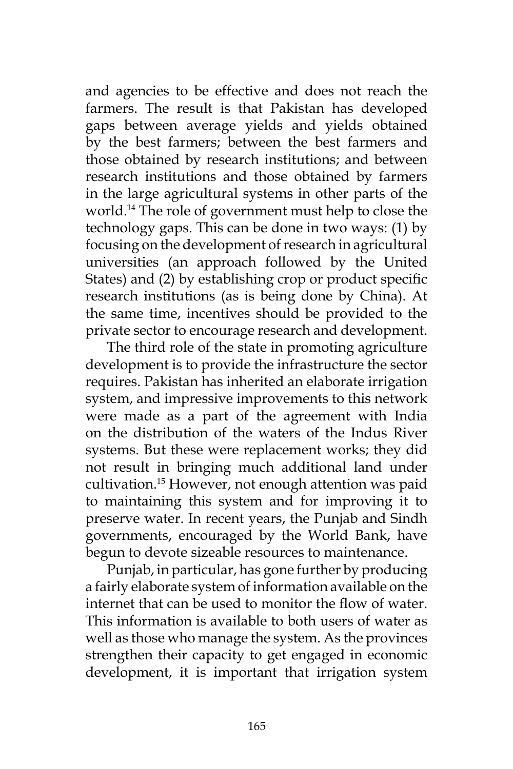and agencies to be effective and does not reach the farmers. The result is that Pakistan has developed gaps between average yields and yields obtained by the best farmers; between the best farmers and those obtained by research institutions; and between research institutions and those obtained by farmers in the large agricultural systems in other parts of the world.14 The role of government must help to close the technology gaps. This can be done in two ways: (1) by focusing on the development of research in agricultural universities (an approach followed by the United States) and (2) by establishing crop or product specific research institutions (as is being done by China). At the same time, incentives should be provided to the private sector to encourage research and development.

The third role of the state in promoting agriculture development is to provide the infrastructure the sector requires. Pakistan has inherited an elaborate irrigation system, and impressive improvements to this network were made as a part of the agreement with India on the distribution of the waters of the Indus River systems. But these were replacement works; they did not result in bringing much additional land under cultivation.15 However, not enough attention was paid to maintaining this system and for improving it to preserve water. In recent years, the Punjab and Sindh governments, encouraged by the World Bank, have begun to devote sizeable resources to maintenance.

Punjab, in particular, has gone further by producing a fairly elaborate system of information available on the internet that can be used to monitor the flow of water. This information is available to both users of water as well as those who manage the system. As the provinces strengthen their capacity to get engaged in economic development, it is important that irrigation system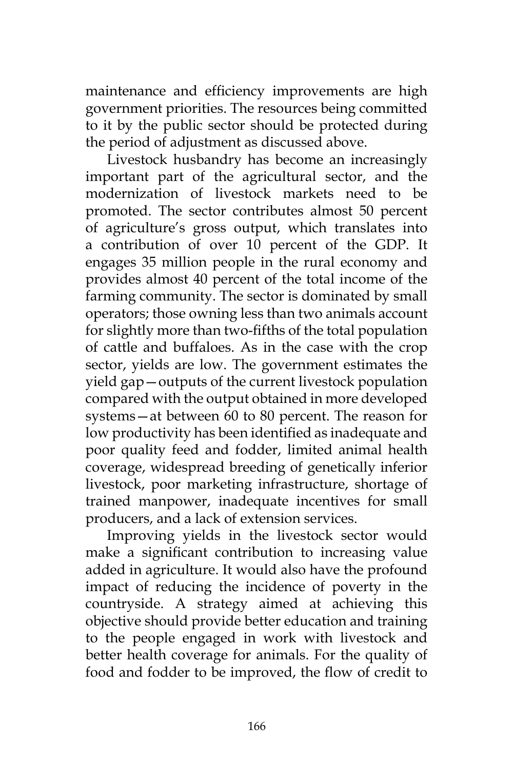maintenance and efficiency improvements are high government priorities. The resources being committed to it by the public sector should be protected during the period of adjustment as discussed above.

Livestock husbandry has become an increasingly important part of the agricultural sector, and the modernization of livestock markets need to be promoted. The sector contributes almost 50 percent of agriculture's gross output, which translates into a contribution of over 10 percent of the GDP. It engages 35 million people in the rural economy and provides almost 40 percent of the total income of the farming community. The sector is dominated by small operators; those owning less than two animals account for slightly more than two-fifths of the total population of cattle and buffaloes. As in the case with the crop sector, yields are low. The government estimates the yield gap—outputs of the current livestock population compared with the output obtained in more developed systems—at between 60 to 80 percent. The reason for low productivity has been identified as inadequate and poor quality feed and fodder, limited animal health coverage, widespread breeding of genetically inferior livestock, poor marketing infrastructure, shortage of trained manpower, inadequate incentives for small producers, and a lack of extension services.

Improving yields in the livestock sector would make a significant contribution to increasing value added in agriculture. It would also have the profound impact of reducing the incidence of poverty in the countryside. A strategy aimed at achieving this objective should provide better education and training to the people engaged in work with livestock and better health coverage for animals. For the quality of food and fodder to be improved, the flow of credit to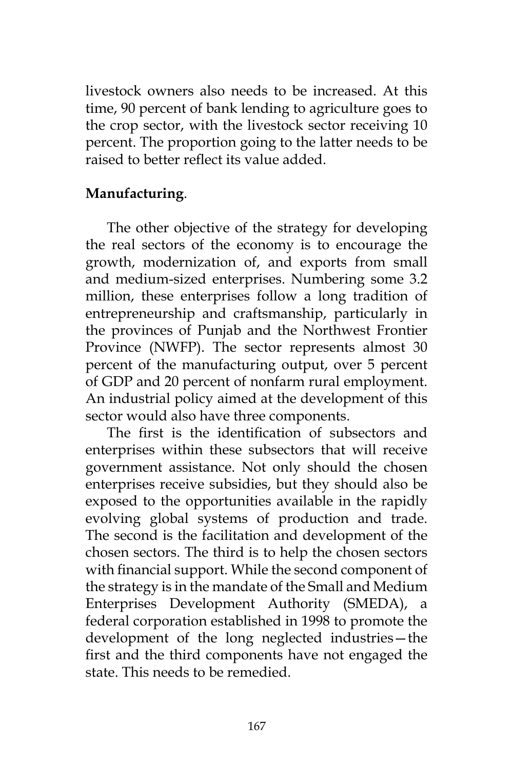livestock owners also needs to be increased. At this time, 90 percent of bank lending to agriculture goes to the crop sector, with the livestock sector receiving 10 percent. The proportion going to the latter needs to be raised to better reflect its value added.

### **Manufacturing**.

The other objective of the strategy for developing the real sectors of the economy is to encourage the growth, modernization of, and exports from small and medium-sized enterprises. Numbering some 3.2 million, these enterprises follow a long tradition of entrepreneurship and craftsmanship, particularly in the provinces of Punjab and the Northwest Frontier Province (NWFP). The sector represents almost 30 percent of the manufacturing output, over 5 percent of GDP and 20 percent of nonfarm rural employment. An industrial policy aimed at the development of this sector would also have three components.

The first is the identification of subsectors and enterprises within these subsectors that will receive government assistance. Not only should the chosen enterprises receive subsidies, but they should also be exposed to the opportunities available in the rapidly evolving global systems of production and trade. The second is the facilitation and development of the chosen sectors. The third is to help the chosen sectors with financial support. While the second component of the strategy is in the mandate of the Small and Medium Enterprises Development Authority (SMEDA), a federal corporation established in 1998 to promote the development of the long neglected industries—the first and the third components have not engaged the state. This needs to be remedied.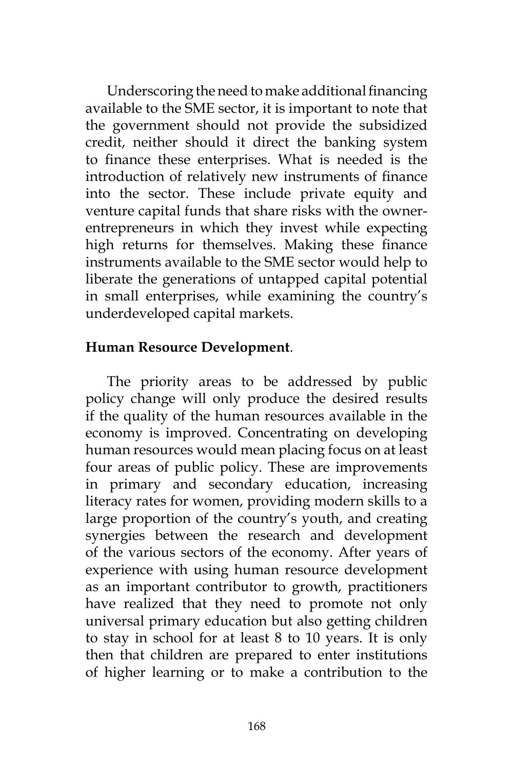Underscoring the need to make additional financing available to the SME sector, it is important to note that the government should not provide the subsidized credit, neither should it direct the banking system to finance these enterprises. What is needed is the introduction of relatively new instruments of finance into the sector. These include private equity and venture capital funds that share risks with the ownerentrepreneurs in which they invest while expecting high returns for themselves. Making these finance instruments available to the SME sector would help to liberate the generations of untapped capital potential in small enterprises, while examining the country's underdeveloped capital markets.

### **Human Resource Development**.

The priority areas to be addressed by public policy change will only produce the desired results if the quality of the human resources available in the economy is improved. Concentrating on developing human resources would mean placing focus on at least four areas of public policy. These are improvements in primary and secondary education, increasing literacy rates for women, providing modern skills to a large proportion of the country's youth, and creating synergies between the research and development of the various sectors of the economy. After years of experience with using human resource development as an important contributor to growth, practitioners have realized that they need to promote not only universal primary education but also getting children to stay in school for at least 8 to 10 years. It is only then that children are prepared to enter institutions of higher learning or to make a contribution to the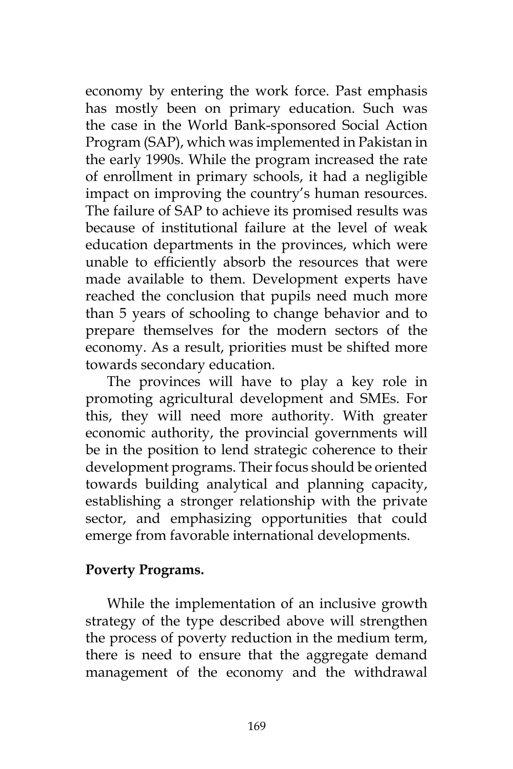economy by entering the work force. Past emphasis has mostly been on primary education. Such was the case in the World Bank-sponsored Social Action Program (SAP), which was implemented in Pakistan in the early 1990s. While the program increased the rate of enrollment in primary schools, it had a negligible impact on improving the country's human resources. The failure of SAP to achieve its promised results was because of institutional failure at the level of weak education departments in the provinces, which were unable to efficiently absorb the resources that were made available to them. Development experts have reached the conclusion that pupils need much more than 5 years of schooling to change behavior and to prepare themselves for the modern sectors of the economy. As a result, priorities must be shifted more towards secondary education.

The provinces will have to play a key role in promoting agricultural development and SMEs. For this, they will need more authority. With greater economic authority, the provincial governments will be in the position to lend strategic coherence to their development programs. Their focus should be oriented towards building analytical and planning capacity, establishing a stronger relationship with the private sector, and emphasizing opportunities that could emerge from favorable international developments.

#### **Poverty Programs.**

While the implementation of an inclusive growth strategy of the type described above will strengthen the process of poverty reduction in the medium term, there is need to ensure that the aggregate demand management of the economy and the withdrawal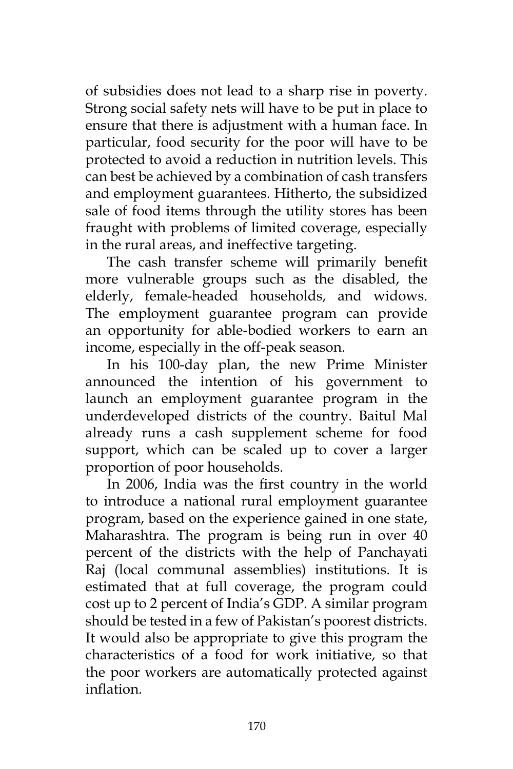of subsidies does not lead to a sharp rise in poverty. Strong social safety nets will have to be put in place to ensure that there is adjustment with a human face. In particular, food security for the poor will have to be protected to avoid a reduction in nutrition levels. This can best be achieved by a combination of cash transfers and employment guarantees. Hitherto, the subsidized sale of food items through the utility stores has been fraught with problems of limited coverage, especially in the rural areas, and ineffective targeting.

The cash transfer scheme will primarily benefit more vulnerable groups such as the disabled, the elderly, female-headed households, and widows. The employment guarantee program can provide an opportunity for able-bodied workers to earn an income, especially in the off-peak season.

In his 100-day plan, the new Prime Minister announced the intention of his government to launch an employment guarantee program in the underdeveloped districts of the country. Baitul Mal already runs a cash supplement scheme for food support, which can be scaled up to cover a larger proportion of poor households.

In 2006, India was the first country in the world to introduce a national rural employment guarantee program, based on the experience gained in one state, Maharashtra. The program is being run in over 40 percent of the districts with the help of Panchayati Raj (local communal assemblies) institutions. It is estimated that at full coverage, the program could cost up to 2 percent of India's GDP. A similar program should be tested in a few of Pakistan's poorest districts. It would also be appropriate to give this program the characteristics of a food for work initiative, so that the poor workers are automatically protected against inflation.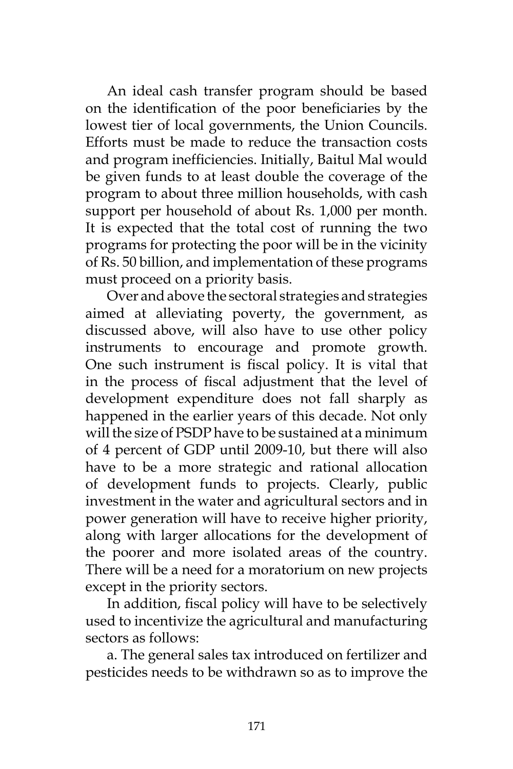An ideal cash transfer program should be based on the identification of the poor beneficiaries by the lowest tier of local governments, the Union Councils. Efforts must be made to reduce the transaction costs and program inefficiencies. Initially, Baitul Mal would be given funds to at least double the coverage of the program to about three million households, with cash support per household of about Rs. 1,000 per month. It is expected that the total cost of running the two programs for protecting the poor will be in the vicinity of Rs. 50 billion, and implementation of these programs must proceed on a priority basis.

Over and above the sectoral strategies and strategies aimed at alleviating poverty, the government, as discussed above, will also have to use other policy instruments to encourage and promote growth. One such instrument is fiscal policy. It is vital that in the process of fiscal adjustment that the level of development expenditure does not fall sharply as happened in the earlier years of this decade. Not only will the size of PSDP have to be sustained at a minimum of 4 percent of GDP until 2009-10, but there will also have to be a more strategic and rational allocation of development funds to projects. Clearly, public investment in the water and agricultural sectors and in power generation will have to receive higher priority, along with larger allocations for the development of the poorer and more isolated areas of the country. There will be a need for a moratorium on new projects except in the priority sectors.

In addition, fiscal policy will have to be selectively used to incentivize the agricultural and manufacturing sectors as follows:

a. The general sales tax introduced on fertilizer and pesticides needs to be withdrawn so as to improve the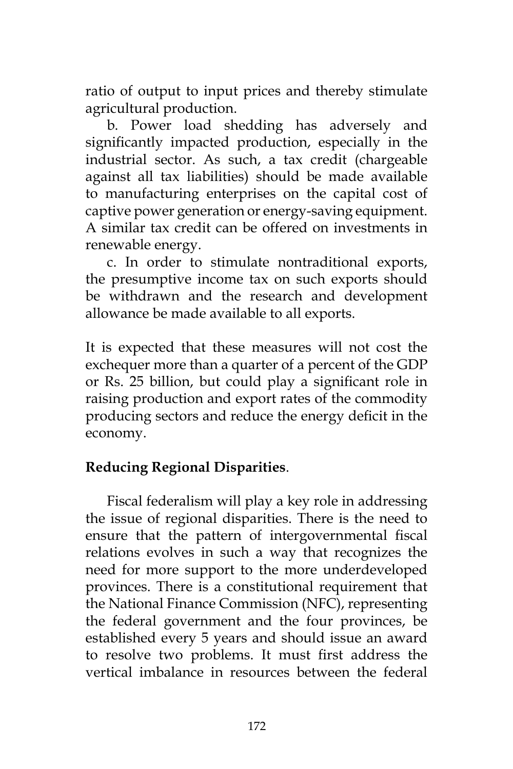ratio of output to input prices and thereby stimulate agricultural production.

b. Power load shedding has adversely and significantly impacted production, especially in the industrial sector. As such, a tax credit (chargeable against all tax liabilities) should be made available to manufacturing enterprises on the capital cost of captive power generation or energy-saving equipment. A similar tax credit can be offered on investments in renewable energy.

c. In order to stimulate nontraditional exports, the presumptive income tax on such exports should be withdrawn and the research and development allowance be made available to all exports.

It is expected that these measures will not cost the exchequer more than a quarter of a percent of the GDP or Rs. 25 billion, but could play a significant role in raising production and export rates of the commodity producing sectors and reduce the energy deficit in the economy.

## **Reducing Regional Disparities**.

Fiscal federalism will play a key role in addressing the issue of regional disparities. There is the need to ensure that the pattern of intergovernmental fiscal relations evolves in such a way that recognizes the need for more support to the more underdeveloped provinces. There is a constitutional requirement that the National Finance Commission (NFC), representing the federal government and the four provinces, be established every 5 years and should issue an award to resolve two problems. It must first address the vertical imbalance in resources between the federal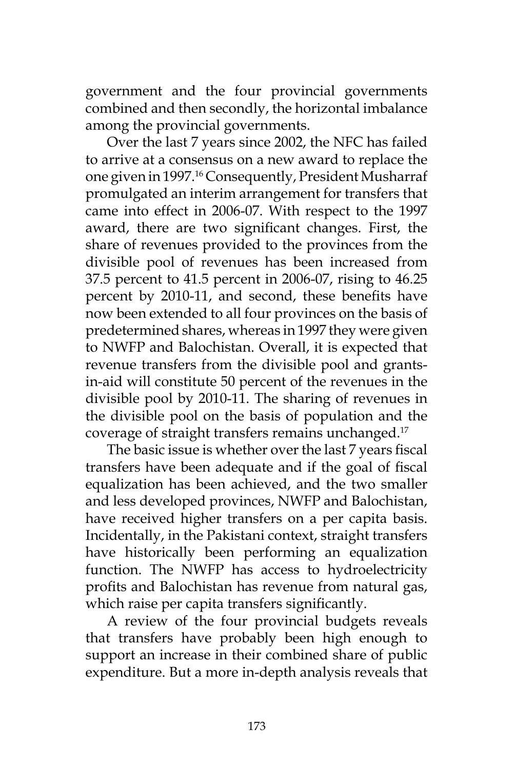government and the four provincial governments combined and then secondly, the horizontal imbalance among the provincial governments.

Over the last 7 years since 2002, the NFC has failed to arrive at a consensus on a new award to replace the one given in 1997.16 Consequently, President Musharraf promulgated an interim arrangement for transfers that came into effect in 2006-07. With respect to the 1997 award, there are two significant changes. First, the share of revenues provided to the provinces from the divisible pool of revenues has been increased from 37.5 percent to 41.5 percent in 2006-07, rising to 46.25 percent by 2010-11, and second, these benefits have now been extended to all four provinces on the basis of predetermined shares, whereas in 1997 they were given to NWFP and Balochistan. Overall, it is expected that revenue transfers from the divisible pool and grantsin-aid will constitute 50 percent of the revenues in the divisible pool by 2010-11. The sharing of revenues in the divisible pool on the basis of population and the coverage of straight transfers remains unchanged.17

The basic issue is whether over the last 7 years fiscal transfers have been adequate and if the goal of fiscal equalization has been achieved, and the two smaller and less developed provinces, NWFP and Balochistan, have received higher transfers on a per capita basis. Incidentally, in the Pakistani context, straight transfers have historically been performing an equalization function. The NWFP has access to hydroelectricity profits and Balochistan has revenue from natural gas, which raise per capita transfers significantly.

A review of the four provincial budgets reveals that transfers have probably been high enough to support an increase in their combined share of public expenditure. But a more in-depth analysis reveals that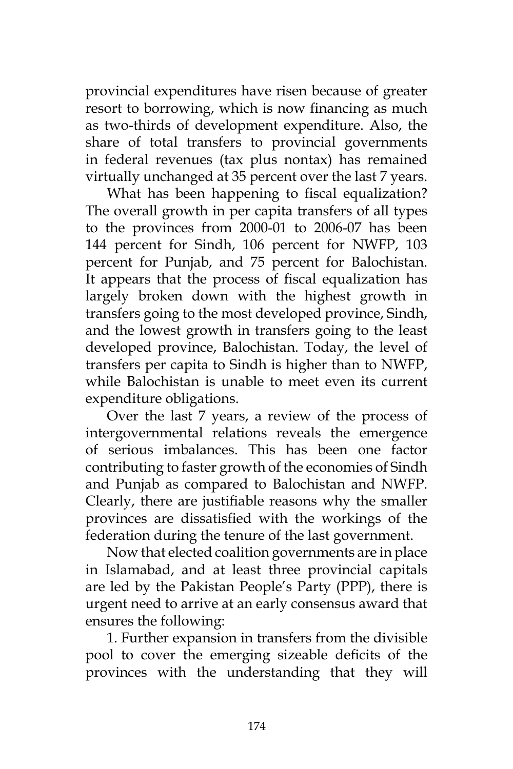provincial expenditures have risen because of greater resort to borrowing, which is now financing as much as two-thirds of development expenditure. Also, the share of total transfers to provincial governments in federal revenues (tax plus nontax) has remained virtually unchanged at 35 percent over the last 7 years.

What has been happening to fiscal equalization? The overall growth in per capita transfers of all types to the provinces from 2000-01 to 2006-07 has been 144 percent for Sindh, 106 percent for NWFP, 103 percent for Punjab, and 75 percent for Balochistan. It appears that the process of fiscal equalization has largely broken down with the highest growth in transfers going to the most developed province, Sindh, and the lowest growth in transfers going to the least developed province, Balochistan. Today, the level of transfers per capita to Sindh is higher than to NWFP, while Balochistan is unable to meet even its current expenditure obligations.

Over the last 7 years, a review of the process of intergovernmental relations reveals the emergence of serious imbalances. This has been one factor contributing to faster growth of the economies of Sindh and Punjab as compared to Balochistan and NWFP. Clearly, there are justifiable reasons why the smaller provinces are dissatisfied with the workings of the federation during the tenure of the last government.

Now that elected coalition governments are in place in Islamabad, and at least three provincial capitals are led by the Pakistan People's Party (PPP), there is urgent need to arrive at an early consensus award that ensures the following:

1. Further expansion in transfers from the divisible pool to cover the emerging sizeable deficits of the provinces with the understanding that they will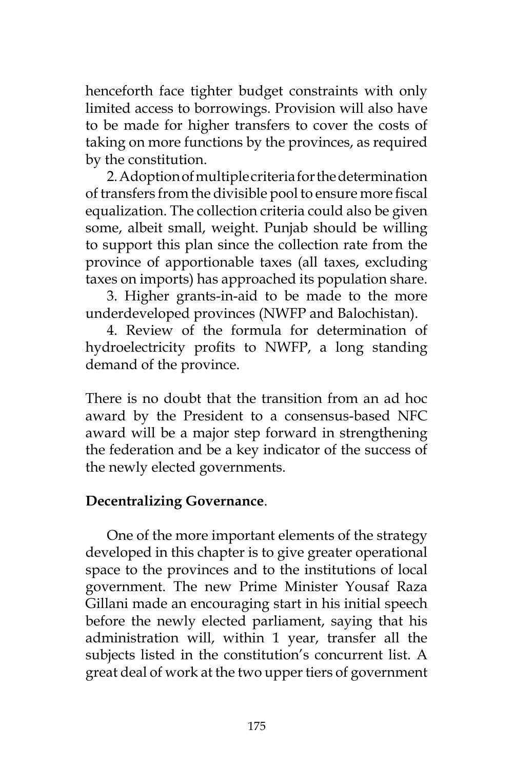henceforth face tighter budget constraints with only limited access to borrowings. Provision will also have to be made for higher transfers to cover the costs of taking on more functions by the provinces, as required by the constitution.

2. Adoption of multiple criteria for the determination of transfers from the divisible pool to ensure more fiscal equalization. The collection criteria could also be given some, albeit small, weight. Punjab should be willing to support this plan since the collection rate from the province of apportionable taxes (all taxes, excluding taxes on imports) has approached its population share.

3. Higher grants-in-aid to be made to the more underdeveloped provinces (NWFP and Balochistan).

4. Review of the formula for determination of hydroelectricity profits to NWFP, a long standing demand of the province.

There is no doubt that the transition from an ad hoc award by the President to a consensus-based NFC award will be a major step forward in strengthening the federation and be a key indicator of the success of the newly elected governments.

#### **Decentralizing Governance**.

One of the more important elements of the strategy developed in this chapter is to give greater operational space to the provinces and to the institutions of local government. The new Prime Minister Yousaf Raza Gillani made an encouraging start in his initial speech before the newly elected parliament, saying that his administration will, within 1 year, transfer all the subjects listed in the constitution's concurrent list. A great deal of work at the two upper tiers of government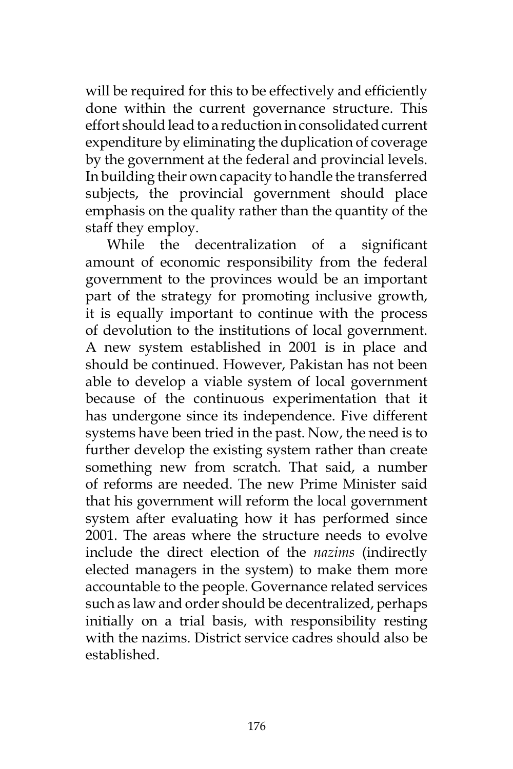will be required for this to be effectively and efficiently done within the current governance structure. This effort should lead to a reduction in consolidated current expenditure by eliminating the duplication of coverage by the government at the federal and provincial levels. In building their own capacity to handle the transferred subjects, the provincial government should place emphasis on the quality rather than the quantity of the staff they employ.

While the decentralization of a significant amount of economic responsibility from the federal government to the provinces would be an important part of the strategy for promoting inclusive growth, it is equally important to continue with the process of devolution to the institutions of local government. A new system established in 2001 is in place and should be continued. However, Pakistan has not been able to develop a viable system of local government because of the continuous experimentation that it has undergone since its independence. Five different systems have been tried in the past. Now, the need is to further develop the existing system rather than create something new from scratch. That said, a number of reforms are needed. The new Prime Minister said that his government will reform the local government system after evaluating how it has performed since 2001. The areas where the structure needs to evolve include the direct election of the *nazims* (indirectly elected managers in the system) to make them more accountable to the people. Governance related services such as law and order should be decentralized, perhaps initially on a trial basis, with responsibility resting with the nazims. District service cadres should also be established.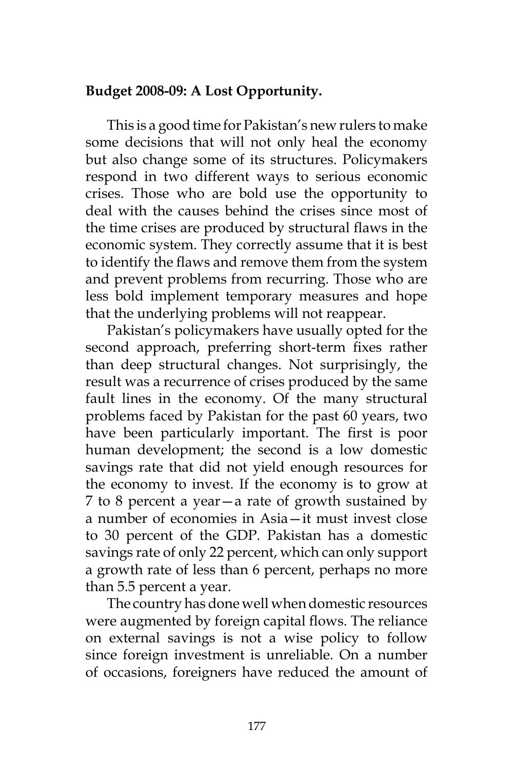### **Budget 2008-09: A Lost Opportunity.**

This is a good time for Pakistan's new rulers to make some decisions that will not only heal the economy but also change some of its structures. Policymakers respond in two different ways to serious economic crises. Those who are bold use the opportunity to deal with the causes behind the crises since most of the time crises are produced by structural flaws in the economic system. They correctly assume that it is best to identify the flaws and remove them from the system and prevent problems from recurring. Those who are less bold implement temporary measures and hope that the underlying problems will not reappear.

Pakistan's policymakers have usually opted for the second approach, preferring short-term fixes rather than deep structural changes. Not surprisingly, the result was a recurrence of crises produced by the same fault lines in the economy. Of the many structural problems faced by Pakistan for the past 60 years, two have been particularly important. The first is poor human development; the second is a low domestic savings rate that did not yield enough resources for the economy to invest. If the economy is to grow at 7 to 8 percent a year—a rate of growth sustained by a number of economies in Asia—it must invest close to 30 percent of the GDP. Pakistan has a domestic savings rate of only 22 percent, which can only support a growth rate of less than 6 percent, perhaps no more than 5.5 percent a year.

The country has done well when domestic resources were augmented by foreign capital flows. The reliance on external savings is not a wise policy to follow since foreign investment is unreliable. On a number of occasions, foreigners have reduced the amount of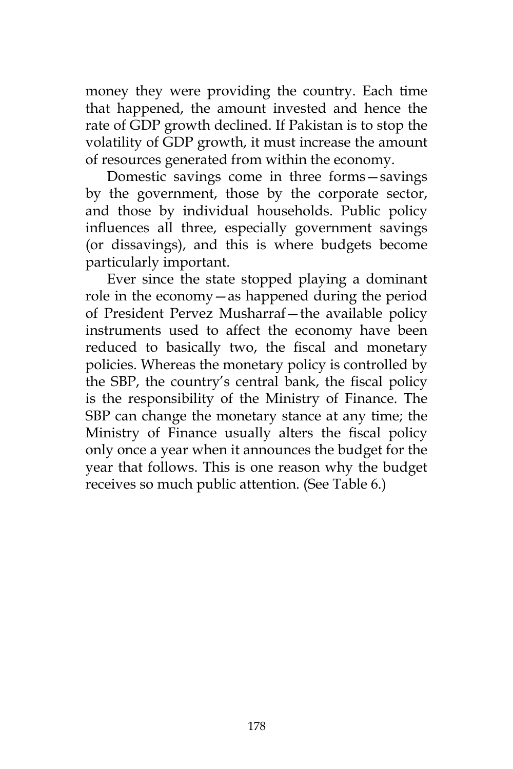money they were providing the country. Each time that happened, the amount invested and hence the rate of GDP growth declined. If Pakistan is to stop the volatility of GDP growth, it must increase the amount of resources generated from within the economy.

Domestic savings come in three forms—savings by the government, those by the corporate sector, and those by individual households. Public policy influences all three, especially government savings (or dissavings), and this is where budgets become particularly important.

Ever since the state stopped playing a dominant role in the economy—as happened during the period of President Pervez Musharraf—the available policy instruments used to affect the economy have been reduced to basically two, the fiscal and monetary policies. Whereas the monetary policy is controlled by the SBP, the country's central bank, the fiscal policy is the responsibility of the Ministry of Finance. The SBP can change the monetary stance at any time; the Ministry of Finance usually alters the fiscal policy only once a year when it announces the budget for the year that follows. This is one reason why the budget receives so much public attention. (See Table 6.)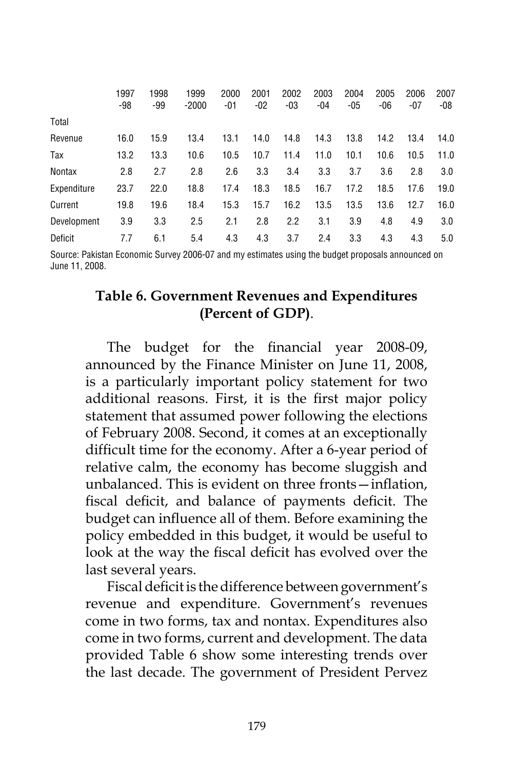|               | 1997<br>-98 | 1998<br>-99 | 1999<br>$-2000$ | 2000<br>-01 | 2001<br>-02 | 2002<br>-03 | 2003<br>-04 | 2004<br>-05 | 2005<br>-06 | 2006<br>-07 | 2007<br>-08 |
|---------------|-------------|-------------|-----------------|-------------|-------------|-------------|-------------|-------------|-------------|-------------|-------------|
| Total         |             |             |                 |             |             |             |             |             |             |             |             |
| Revenue       | 16.0        | 15.9        | 13.4            | 13.1        | 14.0        | 14.8        | 14.3        | 13.8        | 14.2        | 13.4        | 14.0        |
| Tax           | 13.2        | 13.3        | 10.6            | 10.5        | 10.7        | 11.4        | 11.0        | 10.1        | 10.6        | 10.5        | 11.0        |
| <b>Nontax</b> | 2.8         | 2.7         | 2.8             | 2.6         | 3.3         | 3.4         | 3.3         | 3.7         | 3.6         | 2.8         | 3.0         |
| Expenditure   | 23.7        | 22.0        | 18.8            | 17.4        | 18.3        | 18.5        | 16.7        | 17.2        | 18.5        | 17.6        | 19.0        |
| Current       | 19.8        | 19.6        | 18.4            | 15.3        | 15.7        | 16.2        | 13.5        | 13.5        | 13.6        | 12.7        | 16.0        |
| Development   | 3.9         | 3.3         | 2.5             | 2.1         | 2.8         | 2.2         | 3.1         | 3.9         | 4.8         | 4.9         | 3.0         |
| Deficit       | 7.7         | 6.1         | 5.4             | 4.3         | 4.3         | 3.7         | 2.4         | 3.3         | 4.3         | 4.3         | 5.0         |

Source: Pakistan Economic Survey 2006-07 and my estimates using the budget proposals announced on June 11, 2008.

#### **Table 6. Government Revenues and Expenditures (Percent of GDP)**.

The budget for the financial year 2008-09, announced by the Finance Minister on June 11, 2008, is a particularly important policy statement for two additional reasons. First, it is the first major policy statement that assumed power following the elections of February 2008. Second, it comes at an exceptionally difficult time for the economy. After a 6-year period of relative calm, the economy has become sluggish and unbalanced. This is evident on three fronts—inflation, fiscal deficit, and balance of payments deficit. The budget can influence all of them. Before examining the policy embedded in this budget, it would be useful to look at the way the fiscal deficit has evolved over the last several years.

Fiscal deficit is the difference between government's revenue and expenditure. Government's revenues come in two forms, tax and nontax. Expenditures also come in two forms, current and development. The data provided Table 6 show some interesting trends over the last decade. The government of President Pervez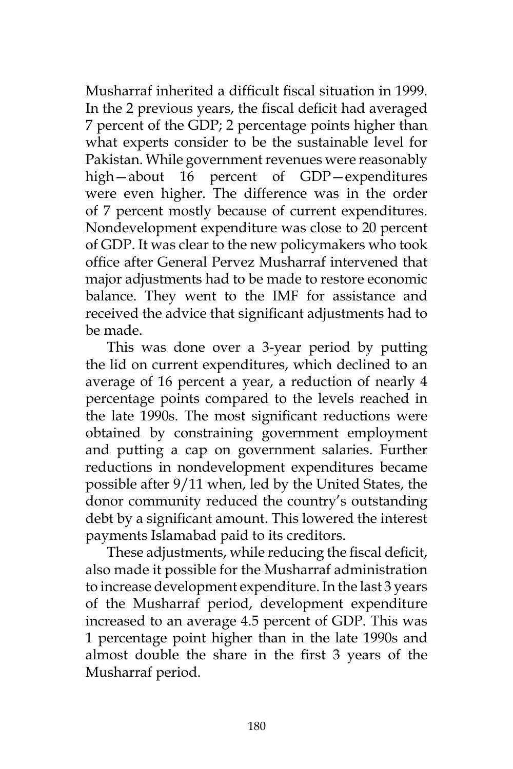Musharraf inherited a difficult fiscal situation in 1999. In the 2 previous years, the fiscal deficit had averaged 7 percent of the GDP; 2 percentage points higher than what experts consider to be the sustainable level for Pakistan. While government revenues were reasonably high—about 16 percent of GDP—expenditures were even higher. The difference was in the order of 7 percent mostly because of current expenditures. Nondevelopment expenditure was close to 20 percent of GDP. It was clear to the new policymakers who took office after General Pervez Musharraf intervened that major adjustments had to be made to restore economic balance. They went to the IMF for assistance and received the advice that significant adjustments had to be made.

This was done over a 3-year period by putting the lid on current expenditures, which declined to an average of 16 percent a year, a reduction of nearly 4 percentage points compared to the levels reached in the late 1990s. The most significant reductions were obtained by constraining government employment and putting a cap on government salaries. Further reductions in nondevelopment expenditures became possible after 9/11 when, led by the United States, the donor community reduced the country's outstanding debt by a significant amount. This lowered the interest payments Islamabad paid to its creditors.

These adjustments, while reducing the fiscal deficit, also made it possible for the Musharraf administration to increase development expenditure. In the last 3 years of the Musharraf period, development expenditure increased to an average 4.5 percent of GDP. This was 1 percentage point higher than in the late 1990s and almost double the share in the first 3 years of the Musharraf period.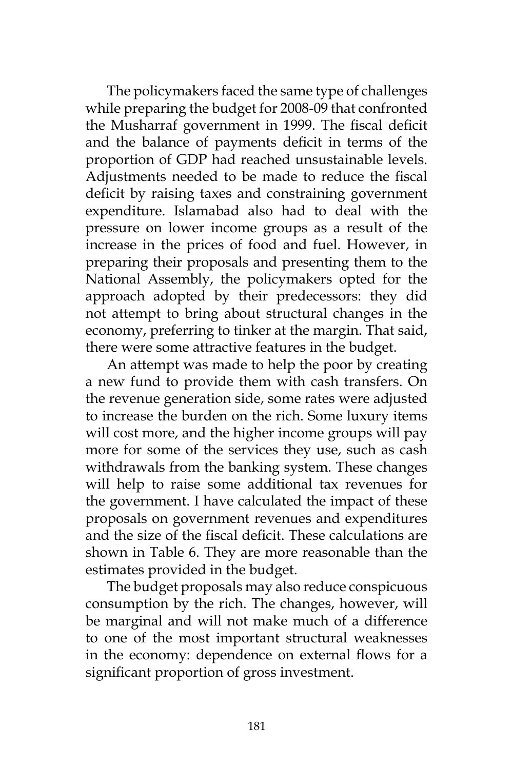The policymakers faced the same type of challenges while preparing the budget for 2008-09 that confronted the Musharraf government in 1999. The fiscal deficit and the balance of payments deficit in terms of the proportion of GDP had reached unsustainable levels. Adjustments needed to be made to reduce the fiscal deficit by raising taxes and constraining government expenditure. Islamabad also had to deal with the pressure on lower income groups as a result of the increase in the prices of food and fuel. However, in preparing their proposals and presenting them to the National Assembly, the policymakers opted for the approach adopted by their predecessors: they did not attempt to bring about structural changes in the economy, preferring to tinker at the margin. That said, there were some attractive features in the budget.

An attempt was made to help the poor by creating a new fund to provide them with cash transfers. On the revenue generation side, some rates were adjusted to increase the burden on the rich. Some luxury items will cost more, and the higher income groups will pay more for some of the services they use, such as cash withdrawals from the banking system. These changes will help to raise some additional tax revenues for the government. I have calculated the impact of these proposals on government revenues and expenditures and the size of the fiscal deficit. These calculations are shown in Table 6. They are more reasonable than the estimates provided in the budget.

The budget proposals may also reduce conspicuous consumption by the rich. The changes, however, will be marginal and will not make much of a difference to one of the most important structural weaknesses in the economy: dependence on external flows for a significant proportion of gross investment.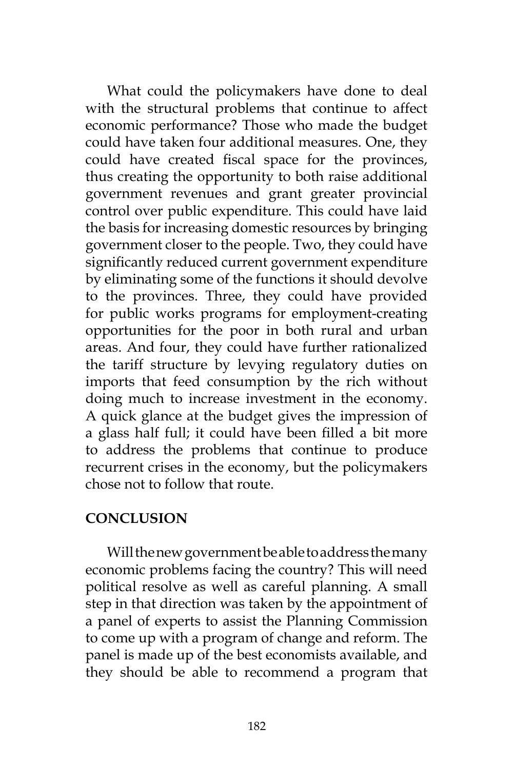What could the policymakers have done to deal with the structural problems that continue to affect economic performance? Those who made the budget could have taken four additional measures. One, they could have created fiscal space for the provinces, thus creating the opportunity to both raise additional government revenues and grant greater provincial control over public expenditure. This could have laid the basis for increasing domestic resources by bringing government closer to the people. Two, they could have significantly reduced current government expenditure by eliminating some of the functions it should devolve to the provinces. Three, they could have provided for public works programs for employment-creating opportunities for the poor in both rural and urban areas. And four, they could have further rationalized the tariff structure by levying regulatory duties on imports that feed consumption by the rich without doing much to increase investment in the economy. A quick glance at the budget gives the impression of a glass half full; it could have been filled a bit more to address the problems that continue to produce recurrent crises in the economy, but the policymakers chose not to follow that route.

#### **CONCLUSION**

Will the new government be able to address the many economic problems facing the country? This will need political resolve as well as careful planning. A small step in that direction was taken by the appointment of a panel of experts to assist the Planning Commission to come up with a program of change and reform. The panel is made up of the best economists available, and they should be able to recommend a program that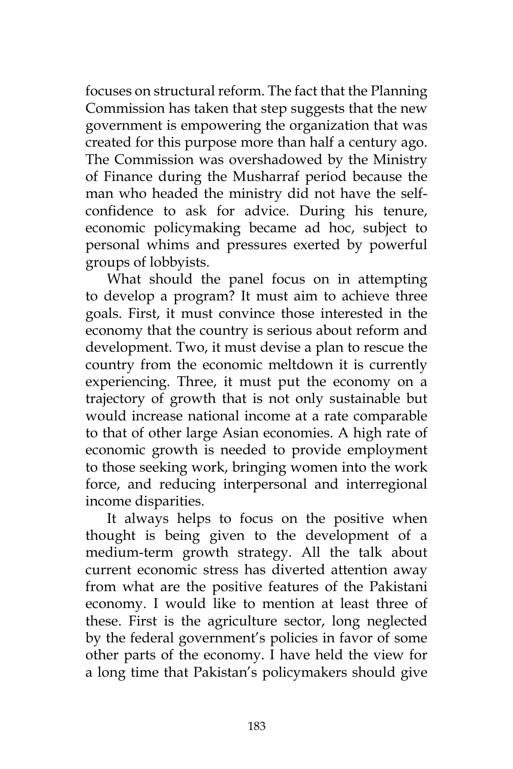focuses on structural reform. The fact that the Planning Commission has taken that step suggests that the new government is empowering the organization that was created for this purpose more than half a century ago. The Commission was overshadowed by the Ministry of Finance during the Musharraf period because the man who headed the ministry did not have the selfconfidence to ask for advice. During his tenure, economic policymaking became ad hoc, subject to personal whims and pressures exerted by powerful groups of lobbyists.

What should the panel focus on in attempting to develop a program? It must aim to achieve three goals. First, it must convince those interested in the economy that the country is serious about reform and development. Two, it must devise a plan to rescue the country from the economic meltdown it is currently experiencing. Three, it must put the economy on a trajectory of growth that is not only sustainable but would increase national income at a rate comparable to that of other large Asian economies. A high rate of economic growth is needed to provide employment to those seeking work, bringing women into the work force, and reducing interpersonal and interregional income disparities.

It always helps to focus on the positive when thought is being given to the development of a medium-term growth strategy. All the talk about current economic stress has diverted attention away from what are the positive features of the Pakistani economy. I would like to mention at least three of these. First is the agriculture sector, long neglected by the federal government's policies in favor of some other parts of the economy. I have held the view for a long time that Pakistan's policymakers should give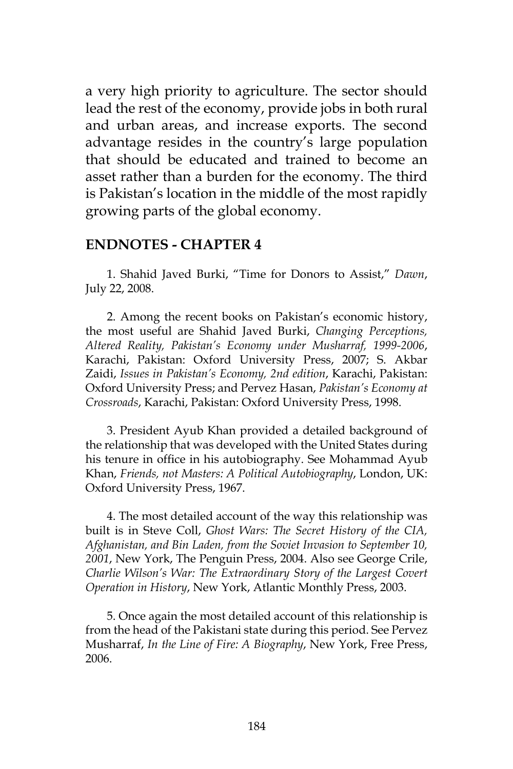a very high priority to agriculture. The sector should lead the rest of the economy, provide jobs in both rural and urban areas, and increase exports. The second advantage resides in the country's large population that should be educated and trained to become an asset rather than a burden for the economy. The third is Pakistan's location in the middle of the most rapidly growing parts of the global economy.

#### **ENDNOTES - CHAPTER 4**

1. Shahid Javed Burki, "Time for Donors to Assist," *Dawn*, July 22, 2008.

2. Among the recent books on Pakistan's economic history, the most useful are Shahid Javed Burki, *Changing Perceptions, Altered Reality, Pakistan's Economy under Musharraf, 1999-2006*, Karachi, Pakistan: Oxford University Press, 2007; S. Akbar Zaidi, *Issues in Pakistan's Economy, 2nd edition*, Karachi, Pakistan: Oxford University Press; and Pervez Hasan, *Pakistan's Economy at Crossroads*, Karachi, Pakistan: Oxford University Press, 1998.

3. President Ayub Khan provided a detailed background of the relationship that was developed with the United States during his tenure in office in his autobiography. See Mohammad Ayub Khan, *Friends, not Masters: A Political Autobiography*, London, UK: Oxford University Press, 1967.

4. The most detailed account of the way this relationship was built is in Steve Coll, *Ghost Wars: The Secret History of the CIA, Afghanistan, and Bin Laden, from the Soviet Invasion to September 10, 2001*, New York, The Penguin Press, 2004. Also see George Crile, *Charlie Wilson's War: The Extraordinary Story of the Largest Covert Operation in History*, New York, Atlantic Monthly Press, 2003.

5. Once again the most detailed account of this relationship is from the head of the Pakistani state during this period. See Pervez Musharraf, *In the Line of Fire: A Biography*, New York, Free Press, 2006.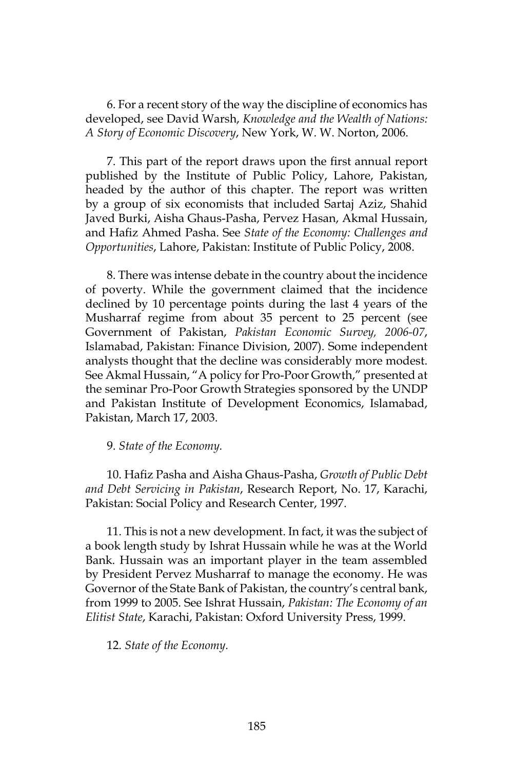6. For a recent story of the way the discipline of economics has developed, see David Warsh, *Knowledge and the Wealth of Nations: A Story of Economic Discovery*, New York, W. W. Norton, 2006.

7. This part of the report draws upon the first annual report published by the Institute of Public Policy, Lahore, Pakistan, headed by the author of this chapter. The report was written by a group of six economists that included Sartaj Aziz, Shahid Javed Burki, Aisha Ghaus-Pasha, Pervez Hasan, Akmal Hussain, and Hafiz Ahmed Pasha. See *State of the Economy: Challenges and Opportunities*, Lahore, Pakistan: Institute of Public Policy, 2008.

8. There was intense debate in the country about the incidence of poverty. While the government claimed that the incidence declined by 10 percentage points during the last 4 years of the Musharraf regime from about 35 percent to 25 percent (see Government of Pakistan, *Pakistan Economic Survey, 2006-07*, Islamabad, Pakistan: Finance Division, 2007). Some independent analysts thought that the decline was considerably more modest. See Akmal Hussain, "A policy for Pro-Poor Growth," presented at the seminar Pro-Poor Growth Strategies sponsored by the UNDP and Pakistan Institute of Development Economics, Islamabad, Pakistan, March 17, 2003.

9. *State of the Economy.*

10. Hafiz Pasha and Aisha Ghaus-Pasha, *Growth of Public Debt and Debt Servicing in Pakistan*, Research Report, No. 17, Karachi, Pakistan: Social Policy and Research Center, 1997.

11. This is not a new development. In fact, it was the subject of a book length study by Ishrat Hussain while he was at the World Bank. Hussain was an important player in the team assembled by President Pervez Musharraf to manage the economy. He was Governor of the State Bank of Pakistan, the country's central bank, from 1999 to 2005. See Ishrat Hussain, *Pakistan: The Economy of an Elitist State*, Karachi, Pakistan: Oxford University Press, 1999.

12. *State of the Economy.*